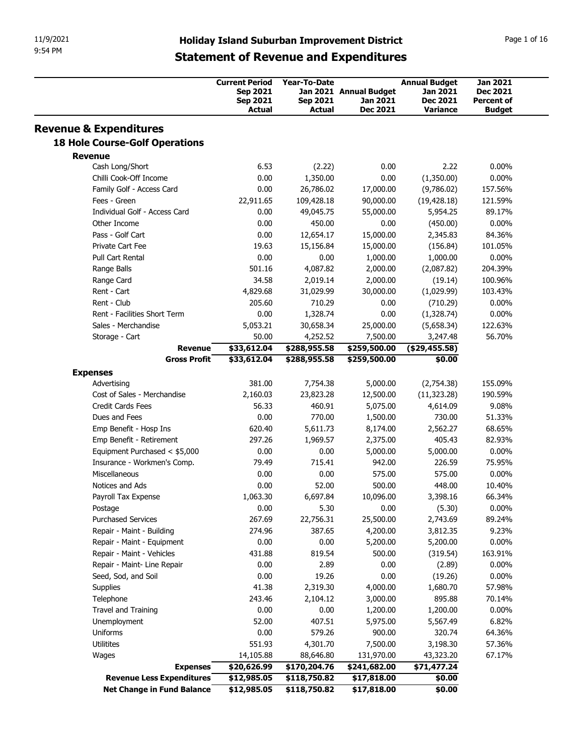| 11/9/2021<br>9:54 PM                                    | <b>Holiday Island Suburban Improvement District</b> |                            |                              |                                              |                              |                             |
|---------------------------------------------------------|-----------------------------------------------------|----------------------------|------------------------------|----------------------------------------------|------------------------------|-----------------------------|
|                                                         |                                                     |                            |                              |                                              |                              |                             |
|                                                         |                                                     |                            |                              |                                              |                              | Page 1 of 16                |
|                                                         |                                                     |                            |                              | <b>Statement of Revenue and Expenditures</b> |                              |                             |
|                                                         |                                                     |                            |                              |                                              |                              |                             |
|                                                         |                                                     | <b>Current Period</b>      | Year-To-Date                 |                                              | <b>Annual Budget</b>         | <b>Jan 2021</b><br>Dec 2021 |
|                                                         |                                                     | Sep 2021<br>Sep 2021       | <b>Sep 2021</b>              | Jan 2021 Annual Budget<br>Jan 2021           | Jan 2021<br><b>Dec 2021</b>  | <b>Percent of</b>           |
|                                                         |                                                     | <b>Actual</b>              | <b>Actual</b>                | <b>Dec 2021</b>                              | Variance                     | <b>Budget</b>               |
| <b>Revenue &amp; Expenditures</b>                       |                                                     |                            |                              |                                              |                              |                             |
| <b>18 Hole Course-Golf Operations</b>                   |                                                     |                            |                              |                                              |                              |                             |
| <b>Revenue</b><br>Cash Long/Short                       |                                                     | 6.53                       | (2.22)                       | 0.00                                         | 2.22                         | $0.00\%$                    |
| Chilli Cook-Off Income                                  |                                                     | 0.00                       | 1,350.00                     | 0.00                                         | (1,350.00)                   | $0.00\%$                    |
| Family Golf - Access Card                               |                                                     | 0.00                       | 26,786.02                    | 17,000.00                                    | (9,786.02)                   | 157.56%                     |
| Fees - Green                                            |                                                     | 22,911.65                  | 109,428.18                   | 90,000.00                                    | (19, 428.18)                 | 121.59%                     |
| Individual Golf - Access Card<br>Other Income           |                                                     | 0.00<br>0.00               | 49,045.75<br>450.00          | 55,000.00<br>0.00                            | 5,954.25<br>(450.00)         | 89.17%<br>$0.00\%$          |
| Pass - Golf Cart                                        |                                                     | 0.00                       | 12,654.17                    | 15,000.00                                    | 2,345.83                     | 84.36%                      |
| Private Cart Fee                                        |                                                     | 19.63                      | 15,156.84                    | 15,000.00                                    | (156.84)                     | 101.05%                     |
| Pull Cart Rental                                        |                                                     | 0.00                       | 0.00                         | 1,000.00                                     | 1,000.00                     | $0.00\%$                    |
| Range Balls                                             |                                                     | 501.16                     | 4,087.82                     | 2,000.00                                     | (2,087.82)                   | 204.39%                     |
| Range Card<br>Rent - Cart                               |                                                     | 34.58<br>4,829.68          | 2,019.14<br>31,029.99        | 2,000.00<br>30,000.00                        | (19.14)<br>(1,029.99)        | 100.96%<br>103.43%          |
| Rent - Club                                             |                                                     | 205.60                     | 710.29                       | 0.00                                         | (710.29)                     | $0.00\%$                    |
| Rent - Facilities Short Term                            |                                                     | 0.00                       | 1,328.74                     | 0.00                                         | (1,328.74)                   | $0.00\%$                    |
| Sales - Merchandise                                     |                                                     | 5,053.21                   | 30,658.34                    | 25,000.00                                    | (5,658.34)                   | 122.63%                     |
| Storage - Cart                                          | <b>Revenue</b>                                      | 50.00<br>\$33,612.04       | 4,252.52<br>\$288,955.58     | 7,500.00<br>\$259,500.00                     | 3,247.48<br>$($ \$29,455.58) | 56.70%                      |
|                                                         | <b>Gross Profit</b>                                 | \$33,612.04                | \$288,955.58                 | \$259,500.00                                 | \$0.00                       |                             |
| <b>Expenses</b>                                         |                                                     |                            |                              |                                              |                              |                             |
| Advertising                                             |                                                     | 381.00                     | 7,754.38                     | 5,000.00                                     | (2,754.38)                   | 155.09%                     |
| Cost of Sales - Merchandise                             |                                                     | 2,160.03<br>56.33          | 23,823.28<br>460.91          | 12,500.00<br>5,075.00                        | (11, 323.28)                 | 190.59%<br>9.08%            |
| Credit Cards Fees<br>Dues and Fees                      |                                                     | 0.00                       | 770.00                       | 1,500.00                                     | 4,614.09<br>730.00           | 51.33%                      |
| Emp Benefit - Hosp Ins                                  |                                                     | 620.40                     | 5,611.73                     | 8,174.00                                     | 2,562.27                     | 68.65%                      |
| Emp Benefit - Retirement                                |                                                     | 297.26                     | 1,969.57                     | 2,375.00                                     | 405.43                       | 82.93%                      |
| Equipment Purchased < \$5,000                           |                                                     | 0.00                       | 0.00                         | 5,000.00                                     | 5,000.00                     | $0.00\%$                    |
| Insurance - Workmen's Comp.<br>Miscellaneous            |                                                     | 79.49<br>0.00              | 715.41<br>0.00               | 942.00<br>575.00                             | 226.59<br>575.00             | 75.95%<br>$0.00\%$          |
| Notices and Ads                                         |                                                     | 0.00                       | 52.00                        | 500.00                                       | 448.00                       | 10.40%                      |
| Payroll Tax Expense                                     |                                                     | 1,063.30                   | 6,697.84                     | 10,096.00                                    | 3,398.16                     | 66.34%                      |
| Postage                                                 |                                                     | 0.00                       | 5.30                         | 0.00                                         | (5.30)                       | $0.00\%$                    |
| <b>Purchased Services</b>                               |                                                     | 267.69                     | 22,756.31                    | 25,500.00                                    | 2,743.69                     | 89.24%                      |
| Repair - Maint - Building<br>Repair - Maint - Equipment |                                                     | 274.96<br>0.00             | 387.65<br>0.00               | 4,200.00<br>5,200.00                         | 3,812.35<br>5,200.00         | 9.23%<br>$0.00\%$           |
| Repair - Maint - Vehicles                               |                                                     | 431.88                     | 819.54                       | 500.00                                       | (319.54)                     | 163.91%                     |
|                                                         |                                                     | 0.00                       | 2.89                         | 0.00                                         | (2.89)                       | $0.00\%$                    |
| Repair - Maint- Line Repair                             |                                                     | 0.00                       | 19.26                        | 0.00                                         | (19.26)                      | $0.00\%$                    |
| Seed, Sod, and Soil                                     |                                                     | 41.38                      | 2,319.30                     | 4,000.00                                     | 1,680.70                     | 57.98%                      |
| Supplies                                                |                                                     | 243.46                     | 2,104.12<br>0.00             | 3,000.00<br>1,200.00                         | 895.88<br>1,200.00           | 70.14%<br>$0.00\%$          |
| Telephone                                               |                                                     | 0.00                       | 407.51                       | 5,975.00                                     | 5,567.49                     | 6.82%                       |
| Travel and Training                                     |                                                     |                            |                              |                                              |                              | 64.36%                      |
| Unemployment<br>Uniforms                                |                                                     | 52.00<br>0.00              | 579.26                       | 900.00                                       | 320.74                       |                             |
| Utilitites                                              |                                                     | 551.93                     | 4,301.70                     | 7,500.00                                     | 3,198.30                     | 57.36%                      |
| Wages                                                   |                                                     | 14,105.88                  | 88,646.80                    | 131,970.00                                   | 43,323.20                    | 67.17%                      |
| <b>Revenue Less Expenditures</b>                        | <b>Expenses</b>                                     | \$20,626.99<br>\$12,985.05 | \$170,204.76<br>\$118,750.82 | \$241,682.00<br>\$17,818.00                  | \$71,477.24<br>\$0.00        |                             |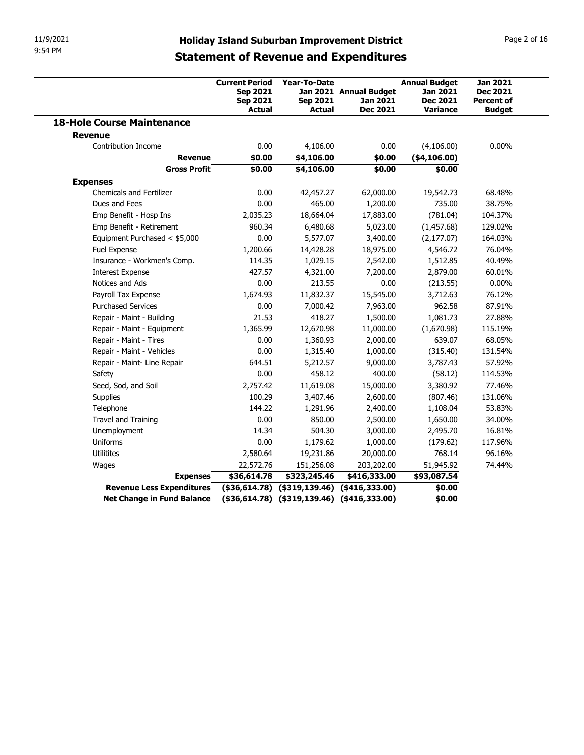| 11/9/2021<br>9:54 PM                                    |                     |                                                                       |                                                         |                                                                                                     |                                                                        |                                                                          |
|---------------------------------------------------------|---------------------|-----------------------------------------------------------------------|---------------------------------------------------------|-----------------------------------------------------------------------------------------------------|------------------------------------------------------------------------|--------------------------------------------------------------------------|
|                                                         |                     |                                                                       |                                                         | <b>Holiday Island Suburban Improvement District</b><br><b>Statement of Revenue and Expenditures</b> |                                                                        | Page 2 of 16                                                             |
|                                                         |                     | <b>Current Period</b><br><b>Sep 2021</b><br>Sep 2021<br><b>Actual</b> | <b>Year-To-Date</b><br><b>Sep 2021</b><br><b>Actual</b> | Jan 2021 Annual Budget<br><b>Jan 2021</b><br><b>Dec 2021</b>                                        | <b>Annual Budget</b><br>Jan 2021<br><b>Dec 2021</b><br><b>Variance</b> | <b>Jan 2021</b><br><b>Dec 2021</b><br><b>Percent of</b><br><b>Budget</b> |
| <b>18-Hole Course Maintenance</b>                       |                     |                                                                       |                                                         |                                                                                                     |                                                                        |                                                                          |
| <b>Revenue</b>                                          |                     |                                                                       |                                                         |                                                                                                     |                                                                        |                                                                          |
| Contribution Income                                     | <b>Revenue</b>      | 0.00<br>\$0.00                                                        | 4,106.00<br>\$4,106.00                                  | 0.00<br>\$0.00                                                                                      | (4,106.00)<br>( \$4,106.00)                                            | $0.00\%$                                                                 |
|                                                         | <b>Gross Profit</b> | \$0.00                                                                | \$4,106.00                                              | \$0.00                                                                                              | \$0.00                                                                 |                                                                          |
| <b>Expenses</b><br><b>Chemicals and Fertilizer</b>      |                     | 0.00                                                                  | 42,457.27                                               | 62,000.00                                                                                           | 19,542.73                                                              | 68.48%                                                                   |
| Dues and Fees                                           |                     | 0.00                                                                  | 465.00                                                  | 1,200.00                                                                                            | 735.00                                                                 | 38.75%                                                                   |
| Emp Benefit - Hosp Ins                                  |                     | 2,035.23                                                              | 18,664.04                                               | 17,883.00                                                                                           | (781.04)                                                               | 104.37%                                                                  |
| Emp Benefit - Retirement                                |                     | 960.34                                                                | 6,480.68                                                | 5,023.00                                                                                            | (1,457.68)                                                             | 129.02%                                                                  |
| Equipment Purchased < \$5,000                           |                     | 0.00                                                                  | 5,577.07                                                | 3,400.00                                                                                            | (2, 177.07)                                                            | 164.03%                                                                  |
| Fuel Expense                                            |                     | 1,200.66                                                              | 14,428.28                                               | 18,975.00                                                                                           | 4,546.72                                                               | 76.04%                                                                   |
| Insurance - Workmen's Comp.                             |                     | 114.35                                                                | 1,029.15                                                | 2,542.00                                                                                            | 1,512.85                                                               | 40.49%                                                                   |
| <b>Interest Expense</b>                                 |                     | 427.57                                                                | 4,321.00                                                | 7,200.00                                                                                            | 2,879.00                                                               | 60.01%                                                                   |
| Notices and Ads                                         |                     | 0.00                                                                  | 213.55                                                  | 0.00                                                                                                | (213.55)                                                               | $0.00\%$                                                                 |
| Payroll Tax Expense                                     |                     | 1,674.93                                                              | 11,832.37                                               | 15,545.00                                                                                           | 3,712.63                                                               | 76.12%                                                                   |
| <b>Purchased Services</b>                               |                     | 0.00                                                                  | 7,000.42                                                | 7,963.00                                                                                            | 962.58                                                                 | 87.91%                                                                   |
| Repair - Maint - Building<br>Repair - Maint - Equipment |                     | 21.53                                                                 | 418.27<br>12,670.98                                     | 1,500.00                                                                                            | 1,081.73                                                               | 27.88%<br>115.19%                                                        |
| Repair - Maint - Tires                                  |                     | 1,365.99<br>0.00                                                      | 1,360.93                                                | 11,000.00<br>2,000.00                                                                               | (1,670.98)<br>639.07                                                   | 68.05%                                                                   |
| Repair - Maint - Vehicles                               |                     | 0.00                                                                  | 1,315.40                                                | 1,000.00                                                                                            | (315.40)                                                               | 131.54%                                                                  |
| Repair - Maint- Line Repair                             |                     | 644.51                                                                | 5,212.57                                                | 9,000.00                                                                                            | 3,787.43                                                               | 57.92%                                                                   |
| Safety                                                  |                     | 0.00                                                                  | 458.12                                                  | 400.00                                                                                              | (58.12)                                                                | 114.53%                                                                  |
| Seed, Sod, and Soil                                     |                     | 2,757.42                                                              | 11,619.08                                               | 15,000.00                                                                                           | 3,380.92                                                               | 77.46%                                                                   |
| Supplies                                                |                     | 100.29                                                                | 3,407.46                                                | 2,600.00                                                                                            | (807.46)                                                               | 131.06%                                                                  |
| Telephone                                               |                     | 144.22                                                                | 1,291.96                                                | 2,400.00                                                                                            | 1,108.04                                                               | 53.83%                                                                   |
| Travel and Training                                     |                     | 0.00                                                                  | 850.00                                                  | 2,500.00                                                                                            | 1,650.00                                                               | 34.00%                                                                   |
| Unemployment                                            |                     | 14.34                                                                 | 504.30                                                  | 3,000.00                                                                                            | 2,495.70                                                               | 16.81%                                                                   |
| Uniforms                                                |                     | 0.00                                                                  | 1,179.62                                                | 1,000.00                                                                                            | (179.62)                                                               | 117.96%                                                                  |
|                                                         |                     | 2,580.64                                                              | 19,231.86                                               | 20,000.00                                                                                           | 768.14                                                                 | 96.16%                                                                   |
| Utilitites                                              | <b>Expenses</b>     | 22,572.76<br>\$36,614.78                                              | 151,256.08<br>\$323,245.46                              | 203,202.00<br>\$416,333.00                                                                          | 51,945.92<br>\$93,087.54                                               | 74.44%                                                                   |
| Wages                                                   |                     |                                                                       | $($ \$36,614.78) (\$319,139.46) (\$416,333.00)          |                                                                                                     | \$0.00                                                                 |                                                                          |
| Revenue Less Expenditures                               |                     |                                                                       |                                                         |                                                                                                     |                                                                        |                                                                          |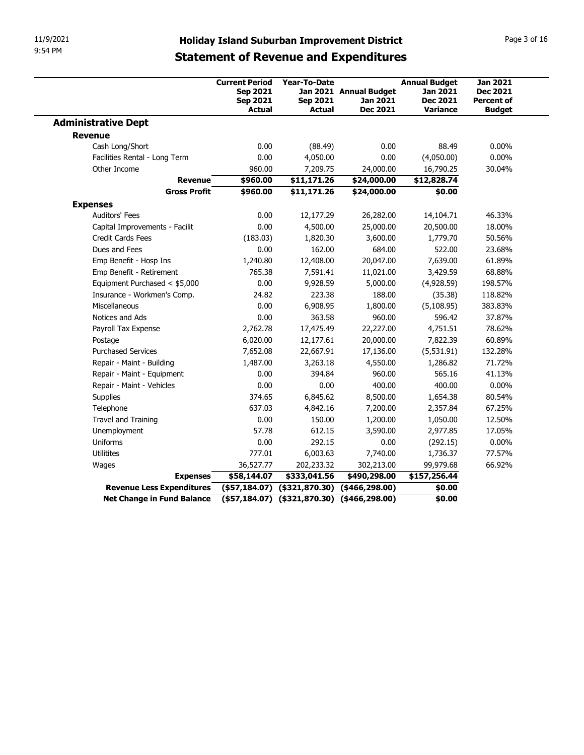| 11/9/2021                                                    |                                                                                                     |                                                  |                                                |                                                                        |                                                                          |
|--------------------------------------------------------------|-----------------------------------------------------------------------------------------------------|--------------------------------------------------|------------------------------------------------|------------------------------------------------------------------------|--------------------------------------------------------------------------|
|                                                              |                                                                                                     |                                                  |                                                |                                                                        | Page 3 of 16                                                             |
| 9:54 PM                                                      | <b>Holiday Island Suburban Improvement District</b><br><b>Statement of Revenue and Expenditures</b> |                                                  |                                                |                                                                        |                                                                          |
|                                                              |                                                                                                     |                                                  |                                                |                                                                        |                                                                          |
|                                                              | <b>Current Period</b><br>Sep 2021<br>Sep 2021<br>Actual                                             | Year-To-Date<br><b>Sep 2021</b><br><b>Actual</b> | Jan 2021 Annual Budget<br>Jan 2021<br>Dec 2021 | <b>Annual Budget</b><br>Jan 2021<br><b>Dec 2021</b><br><b>Variance</b> | <b>Jan 2021</b><br><b>Dec 2021</b><br><b>Percent of</b><br><b>Budget</b> |
| <b>Administrative Dept</b>                                   |                                                                                                     |                                                  |                                                |                                                                        |                                                                          |
| <b>Revenue</b>                                               |                                                                                                     |                                                  |                                                |                                                                        |                                                                          |
| Cash Long/Short                                              | 0.00                                                                                                | (88.49)                                          | 0.00                                           | 88.49                                                                  | $0.00\%$                                                                 |
| Facilities Rental - Long Term<br>Other Income                | 0.00<br>960.00                                                                                      | 4,050.00<br>7,209.75                             | 0.00<br>24,000.00                              | (4,050.00)<br>16,790.25                                                | $0.00\%$<br>30.04%                                                       |
|                                                              | \$960.00<br><b>Revenue</b>                                                                          | \$11,171.26                                      | \$24,000.00                                    | \$12,828.74                                                            |                                                                          |
|                                                              | <b>Gross Profit</b><br>\$960.00                                                                     | \$11,171.26                                      | \$24,000.00                                    | \$0.00                                                                 |                                                                          |
| <b>Expenses</b>                                              |                                                                                                     |                                                  |                                                |                                                                        |                                                                          |
| Auditors' Fees                                               | 0.00                                                                                                | 12,177.29                                        | 26,282.00                                      | 14,104.71                                                              | 46.33%                                                                   |
| Capital Improvements - Facilit                               | 0.00                                                                                                | 4,500.00                                         | 25,000.00                                      | 20,500.00                                                              | 18.00%                                                                   |
| Credit Cards Fees                                            | (183.03)                                                                                            | 1,820.30                                         | 3,600.00                                       | 1,779.70                                                               | 50.56%                                                                   |
| Dues and Fees                                                | 0.00                                                                                                | 162.00                                           | 684.00                                         | 522.00                                                                 | 23.68%                                                                   |
| Emp Benefit - Hosp Ins                                       | 1,240.80                                                                                            | 12,408.00                                        | 20,047.00                                      | 7,639.00                                                               | 61.89%                                                                   |
| Emp Benefit - Retirement                                     | 765.38                                                                                              | 7,591.41                                         | 11,021.00                                      | 3,429.59                                                               | 68.88%                                                                   |
| Equipment Purchased < \$5,000<br>Insurance - Workmen's Comp. | 0.00<br>24.82                                                                                       | 9,928.59<br>223.38                               | 5,000.00<br>188.00                             | (4,928.59)<br>(35.38)                                                  | 198.57%<br>118.82%                                                       |
| Miscellaneous                                                | 0.00                                                                                                | 6,908.95                                         | 1,800.00                                       | (5, 108.95)                                                            | 383.83%                                                                  |
| Notices and Ads                                              | 0.00                                                                                                | 363.58                                           | 960.00                                         | 596.42                                                                 | 37.87%                                                                   |
| Payroll Tax Expense                                          | 2,762.78                                                                                            | 17,475.49                                        | 22,227.00                                      | 4,751.51                                                               | 78.62%                                                                   |
| Postage                                                      | 6,020.00                                                                                            | 12,177.61                                        | 20,000.00                                      | 7,822.39                                                               | 60.89%                                                                   |
| <b>Purchased Services</b>                                    | 7,652.08                                                                                            | 22,667.91                                        | 17,136.00                                      | (5,531.91)                                                             | 132.28%                                                                  |
| Repair - Maint - Building                                    | 1,487.00                                                                                            | 3,263.18                                         | 4,550.00                                       | 1,286.82                                                               | 71.72%                                                                   |
| Repair - Maint - Equipment                                   | 0.00                                                                                                | 394.84                                           | 960.00                                         | 565.16                                                                 | 41.13%                                                                   |
| Repair - Maint - Vehicles                                    | 0.00                                                                                                | 0.00                                             | 400.00                                         | 400.00                                                                 | $0.00\%$                                                                 |
| Supplies                                                     | 374.65                                                                                              | 6,845.62                                         | 8,500.00                                       | 1,654.38                                                               | 80.54%                                                                   |
| Telephone                                                    | 637.03                                                                                              | 4,842.16                                         | 7,200.00                                       | 2,357.84                                                               | 67.25%                                                                   |
| Travel and Training                                          | 0.00<br>57.78                                                                                       | 150.00<br>612.15                                 | 1,200.00                                       | 1,050.00                                                               | 12.50%<br>17.05%                                                         |
| Unemployment<br>Uniforms                                     | 0.00                                                                                                | 292.15                                           | 3,590.00<br>0.00                               | 2,977.85<br>(292.15)                                                   | $0.00\%$                                                                 |
| Utilitites                                                   | 777.01                                                                                              | 6,003.63                                         | 7,740.00                                       | 1,736.37                                                               | 77.57%                                                                   |
| Wages                                                        | 36,527.77                                                                                           | 202,233.32                                       | 302,213.00                                     | 99,979.68                                                              | 66.92%                                                                   |
|                                                              | \$58,144.07<br><b>Expenses</b>                                                                      | \$333,041.56                                     | \$490,298.00                                   | \$157,256.44                                                           |                                                                          |
|                                                              |                                                                                                     |                                                  | (\$57,184.07) (\$321,870.30) (\$466,298.00)    | \$0.00                                                                 |                                                                          |
| Revenue Less Expenditures                                    |                                                                                                     |                                                  | (\$57,184.07) (\$321,870.30) (\$466,298.00)    | \$0.00                                                                 |                                                                          |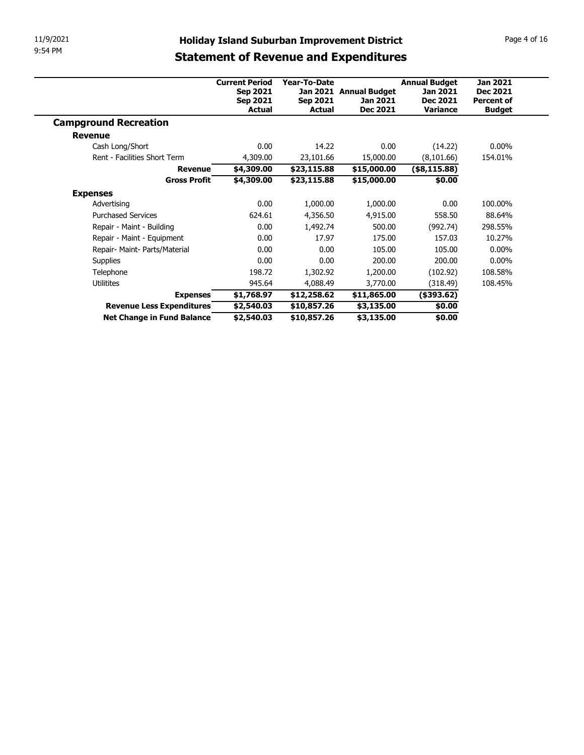| 11/9/2021                                               |                                                     |                            |                                    |                      | Page 4 of 16                         |
|---------------------------------------------------------|-----------------------------------------------------|----------------------------|------------------------------------|----------------------|--------------------------------------|
| 9:54 PM                                                 | <b>Holiday Island Suburban Improvement District</b> |                            |                                    |                      |                                      |
|                                                         | <b>Statement of Revenue and Expenditures</b>        |                            |                                    |                      |                                      |
|                                                         |                                                     |                            |                                    |                      |                                      |
|                                                         | <b>Current Period</b>                               | Year-To-Date               |                                    | <b>Annual Budget</b> | <b>Jan 2021</b>                      |
|                                                         | Sep 2021<br><b>Sep 2021</b>                         | Sep 2021                   | Jan 2021 Annual Budget<br>Jan 2021 | Jan 2021<br>Dec 2021 | <b>Dec 2021</b><br><b>Percent of</b> |
|                                                         | Actual                                              | <b>Actual</b>              | <b>Dec 2021</b>                    | <b>Variance</b>      | <b>Budget</b>                        |
|                                                         |                                                     |                            |                                    |                      |                                      |
| <b>Campground Recreation</b>                            |                                                     |                            |                                    |                      |                                      |
| <b>Revenue</b>                                          |                                                     |                            |                                    |                      |                                      |
| Cash Long/Short                                         | 0.00                                                | 14.22                      | 0.00                               | (14.22)              | $0.00\%$                             |
| Rent - Facilities Short Term                            | 4,309.00                                            | 23,101.66                  | 15,000.00                          | (8,101.66)           | 154.01%                              |
| <b>Revenue</b>                                          | \$4,309.00                                          | \$23,115.88                | \$15,000.00                        | $(*8,115.88)$        |                                      |
| <b>Gross Profit</b>                                     | \$4,309.00                                          | \$23,115.88                | \$15,000.00                        | \$0.00               |                                      |
| <b>Expenses</b>                                         |                                                     |                            |                                    |                      |                                      |
| Advertising                                             | 0.00                                                | 1,000.00                   | 1,000.00                           | 0.00                 | 100.00%                              |
| <b>Purchased Services</b>                               | 624.61                                              | 4,356.50                   | 4,915.00                           | 558.50               | 88.64%                               |
| Repair - Maint - Building                               | 0.00                                                | 1,492.74                   | 500.00                             | (992.74)             | 298.55%                              |
| Repair - Maint - Equipment                              | 0.00                                                | 17.97                      | 175.00                             | 157.03               | 10.27%                               |
| Repair- Maint- Parts/Material                           | 0.00                                                | 0.00                       | 105.00                             | 105.00               | $0.00\%$                             |
| Supplies                                                | 0.00                                                | 0.00                       | 200.00                             | 200.00               | $0.00\%$                             |
| Telephone                                               | 198.72                                              | 1,302.92                   | 1,200.00                           | (102.92)             | 108.58%                              |
| Utilitites                                              | 945.64                                              | 4,088.49                   | 3,770.00                           | (318.49)             | 108.45%                              |
| <b>Expenses</b>                                         | \$1,768.97                                          | \$12,258.62                | \$11,865.00                        | $($ \$393.62 $)$     |                                      |
| Revenue Less Expenditures<br>Net Change in Fund Balance | \$2,540.03<br>\$2,540.03                            | \$10,857.26<br>\$10,857.26 | \$3,135.00<br>\$3,135.00           | \$0.00<br>\$0.00     |                                      |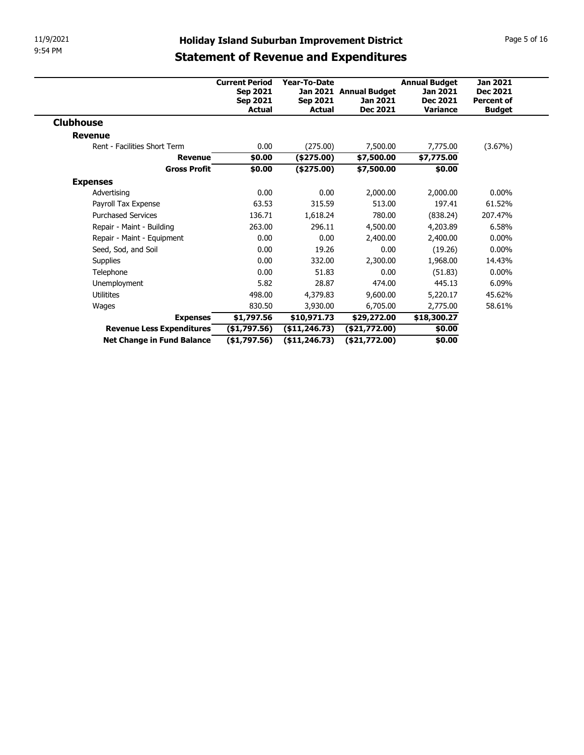| 11/9/2021                                    |                            |                                  |                                                     |                             |                                    |
|----------------------------------------------|----------------------------|----------------------------------|-----------------------------------------------------|-----------------------------|------------------------------------|
| 9:54 PM                                      |                            |                                  | <b>Holiday Island Suburban Improvement District</b> |                             | Page 5 of 16                       |
|                                              |                            |                                  | <b>Statement of Revenue and Expenditures</b>        |                             |                                    |
|                                              |                            |                                  |                                                     |                             |                                    |
|                                              | <b>Current Period</b>      | Year-To-Date                     |                                                     | <b>Annual Budget</b>        | <b>Jan 2021</b>                    |
|                                              | Sep 2021                   |                                  | Jan 2021 Annual Budget                              | Jan 2021                    | <b>Dec 2021</b>                    |
|                                              | <b>Sep 2021</b><br>Actual  | <b>Sep 2021</b><br><b>Actual</b> | Jan 2021<br><b>Dec 2021</b>                         | Dec 2021<br><b>Variance</b> | <b>Percent of</b><br><b>Budget</b> |
|                                              |                            |                                  |                                                     |                             |                                    |
|                                              |                            |                                  |                                                     |                             |                                    |
| <b>Clubhouse</b>                             |                            |                                  |                                                     |                             |                                    |
| <b>Revenue</b>                               |                            |                                  |                                                     |                             |                                    |
| Rent - Facilities Short Term                 | 0.00                       | (275.00)                         | 7,500.00                                            | 7,775.00                    | (3.67%)                            |
| <b>Revenue</b>                               | \$0.00                     | $(*275.00)$                      | \$7,500.00                                          | \$7,775.00                  |                                    |
| <b>Gross Profit</b>                          | \$0.00                     | $(*275.00)$                      | \$7,500.00                                          | \$0.00                      |                                    |
| <b>Expenses</b>                              |                            |                                  |                                                     |                             |                                    |
| Advertising                                  | 0.00                       | 0.00                             | 2,000.00                                            | 2,000.00                    | $0.00\%$                           |
| Payroll Tax Expense                          | 63.53                      | 315.59                           | 513.00                                              | 197.41                      | 61.52%                             |
| <b>Purchased Services</b>                    | 136.71                     | 1,618.24                         | 780.00                                              | (838.24)                    | 207.47%                            |
| Repair - Maint - Building                    | 263.00                     | 296.11                           | 4,500.00                                            | 4,203.89                    | 6.58%                              |
| Repair - Maint - Equipment                   | 0.00                       | 0.00                             | 2,400.00                                            | 2,400.00                    | $0.00\%$                           |
| Seed, Sod, and Soil                          | 0.00                       | 19.26                            | 0.00                                                | (19.26)                     | $0.00\%$                           |
| Supplies                                     | 0.00                       | 332.00                           | 2,300.00                                            | 1,968.00                    | 14.43%                             |
| Telephone                                    | 0.00                       | 51.83                            | 0.00                                                | (51.83)                     | $0.00\%$                           |
| Unemployment                                 | 5.82                       | 28.87                            | 474.00                                              | 445.13                      | 6.09%                              |
| Utilitites                                   | 498.00                     | 4,379.83                         | 9,600.00                                            | 5,220.17                    | 45.62%                             |
| Wages                                        | 830.50                     | 3,930.00                         | 6,705.00                                            | 2,775.00                    | 58.61%                             |
| <b>Expenses</b><br>Revenue Less Expenditures | \$1,797.56<br>(\$1,797.56) | \$10,971.73<br>( \$11, 246.73)   | \$29,272.00<br>(\$21,772.00)                        | \$18,300.27<br>\$0.00       |                                    |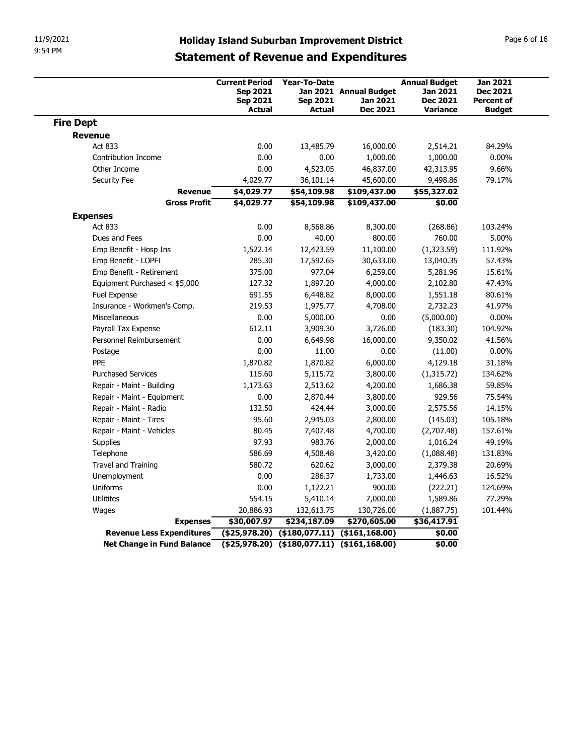| 11/9/2021                                    |                                                                                                     |                                                      |                                                       |                                                                        |                                                                          |
|----------------------------------------------|-----------------------------------------------------------------------------------------------------|------------------------------------------------------|-------------------------------------------------------|------------------------------------------------------------------------|--------------------------------------------------------------------------|
| 9:54 PM                                      | <b>Holiday Island Suburban Improvement District</b><br><b>Statement of Revenue and Expenditures</b> |                                                      |                                                       |                                                                        | Page 6 of 16                                                             |
|                                              | <b>Current Period</b><br><b>Sep 2021</b><br><b>Sep 2021</b><br><b>Actual</b>                        | Year-To-Date<br><b>Sep 2021</b><br><b>Actual</b>     | Jan 2021 Annual Budget<br>Jan 2021<br><b>Dec 2021</b> | <b>Annual Budget</b><br>Jan 2021<br><b>Dec 2021</b><br><b>Variance</b> | <b>Jan 2021</b><br><b>Dec 2021</b><br><b>Percent of</b><br><b>Budget</b> |
| <b>Fire Dept</b>                             |                                                                                                     |                                                      |                                                       |                                                                        |                                                                          |
| <b>Revenue</b>                               |                                                                                                     |                                                      |                                                       |                                                                        |                                                                          |
| Act 833                                      |                                                                                                     | 0.00<br>13,485.79                                    | 16,000.00                                             | 2,514.21                                                               | 84.29%                                                                   |
| Contribution Income                          |                                                                                                     | 0.00<br>0.00                                         | 1,000.00                                              | 1,000.00                                                               | $0.00\%$                                                                 |
| Other Income                                 |                                                                                                     | 4,523.05<br>0.00                                     | 46,837.00                                             | 42,313.95                                                              | 9.66%                                                                    |
| Security Fee                                 | 4,029.77                                                                                            | 36,101.14                                            | 45,600.00                                             | 9,498.86                                                               | 79.17%                                                                   |
|                                              | \$4,029.77<br><b>Revenue</b><br><b>Gross Profit</b><br>\$4,029.77                                   | \$54,109.98<br>\$54,109.98                           | \$109,437.00<br>\$109,437.00                          | \$55,327.02<br>\$0.00                                                  |                                                                          |
| <b>Expenses</b>                              |                                                                                                     |                                                      |                                                       |                                                                        |                                                                          |
| Act 833                                      |                                                                                                     | 0.00<br>8,568.86                                     | 8,300.00                                              | (268.86)                                                               | 103.24%                                                                  |
| Dues and Fees                                |                                                                                                     | 0.00<br>40.00                                        | 800.00                                                | 760.00                                                                 | 5.00%                                                                    |
| Emp Benefit - Hosp Ins                       | 1,522.14                                                                                            | 12,423.59                                            | 11,100.00                                             | (1,323.59)                                                             | 111.92%                                                                  |
| Emp Benefit - LOPFI                          | 285.30                                                                                              | 17,592.65                                            | 30,633.00                                             | 13,040.35                                                              | 57.43%                                                                   |
| Emp Benefit - Retirement                     | 375.00                                                                                              | 977.04                                               | 6,259.00                                              | 5,281.96                                                               | 15.61%                                                                   |
| Equipment Purchased < \$5,000                | 127.32                                                                                              | 1,897.20                                             | 4,000.00                                              | 2,102.80                                                               | 47.43%                                                                   |
| Fuel Expense                                 | 691.55                                                                                              | 6,448.82                                             | 8,000.00                                              | 1,551.18                                                               | 80.61%                                                                   |
| Insurance - Workmen's Comp.<br>Miscellaneous | 219.53                                                                                              | 1,975.77<br>0.00<br>5,000.00                         | 4,708.00<br>0.00                                      | 2,732.23<br>(5,000.00)                                                 | 41.97%<br>$0.00\%$                                                       |
| Payroll Tax Expense                          | 612.11                                                                                              | 3,909.30                                             | 3,726.00                                              | (183.30)                                                               | 104.92%                                                                  |
| Personnel Reimbursement                      |                                                                                                     | 0.00<br>6,649.98                                     | 16,000.00                                             | 9,350.02                                                               | 41.56%                                                                   |
| Postage                                      |                                                                                                     | 0.00<br>11.00                                        | 0.00                                                  | (11.00)                                                                | $0.00\%$                                                                 |
| PPE                                          | 1,870.82                                                                                            | 1,870.82                                             | 6,000.00                                              | 4,129.18                                                               | 31.18%                                                                   |
| <b>Purchased Services</b>                    | 115.60                                                                                              | 5,115.72                                             | 3,800.00                                              | (1,315.72)                                                             | 134.62%                                                                  |
| Repair - Maint - Building                    | 1,173.63                                                                                            | 2,513.62                                             | 4,200.00                                              | 1,686.38                                                               | 59.85%                                                                   |
| Repair - Maint - Equipment                   |                                                                                                     | 0.00<br>2,870.44                                     | 3,800.00                                              | 929.56                                                                 | 75.54%                                                                   |
| Repair - Maint - Radio                       | 132.50                                                                                              | 424.44                                               | 3,000.00                                              | 2,575.56                                                               | 14.15%                                                                   |
| Repair - Maint - Tires                       |                                                                                                     | 95.60<br>2,945.03                                    | 2,800.00                                              | (145.03)                                                               | 105.18%                                                                  |
| Repair - Maint - Vehicles                    |                                                                                                     | 80.45<br>7,407.48                                    | 4,700.00                                              | (2,707.48)                                                             | 157.61%                                                                  |
| Supplies                                     |                                                                                                     | 97.93<br>983.76                                      | 2,000.00                                              | 1,016.24                                                               | 49.19%                                                                   |
| Telephone                                    | 586.69                                                                                              | 4,508.48                                             | 3,420.00                                              | (1,088.48)                                                             | 131.83%                                                                  |
| Travel and Training                          | 580.72                                                                                              | 620.62<br>0.00<br>286.37                             | 3,000.00                                              | 2,379.38                                                               | 20.69%<br>16.52%                                                         |
| Unemployment<br>Uniforms                     |                                                                                                     | 0.00<br>1,122.21                                     | 1,733.00<br>900.00                                    | 1,446.63<br>(222.21)                                                   | 124.69%                                                                  |
| Utilitites                                   | 554.15                                                                                              | 5,410.14                                             | 7,000.00                                              | 1,589.86                                                               | 77.29%                                                                   |
| Wages                                        | 20,886.93                                                                                           | 132,613.75                                           | 130,726.00                                            | (1,887.75)                                                             | 101.44%                                                                  |
|                                              | \$30,007.97<br><b>Expenses</b>                                                                      | \$234,187.09                                         | \$270,605.00                                          | \$36,417.91                                                            |                                                                          |
|                                              |                                                                                                     | $($ \$25,978.20) $($ \$180,077.11) $($ \$161,168.00) |                                                       |                                                                        |                                                                          |
| Revenue Less Expenditures                    |                                                                                                     |                                                      |                                                       | \$0.00                                                                 |                                                                          |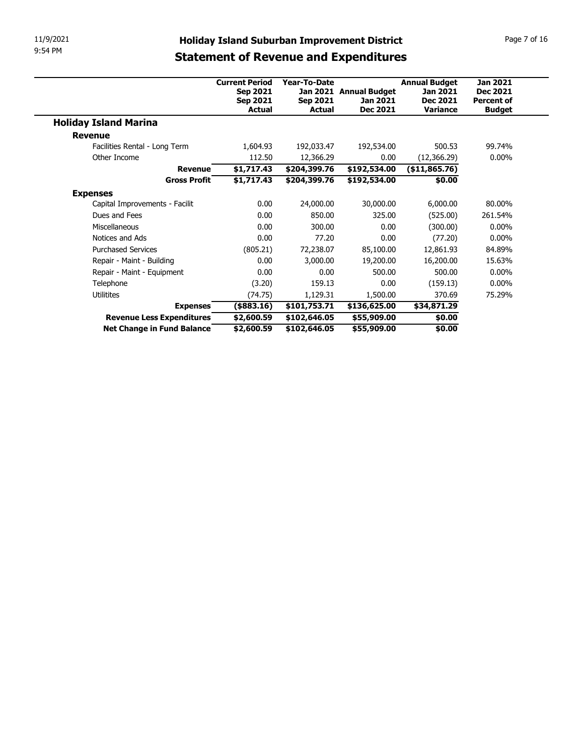| 11/9/2021                        |                           |                                  | <b>Holiday Island Suburban Improvement District</b> |                             | Page 7 of 16                       |  |
|----------------------------------|---------------------------|----------------------------------|-----------------------------------------------------|-----------------------------|------------------------------------|--|
| 9:54 PM                          |                           |                                  | <b>Statement of Revenue and Expenditures</b>        |                             |                                    |  |
|                                  |                           |                                  |                                                     |                             |                                    |  |
|                                  | <b>Current Period</b>     | Year-To-Date                     |                                                     | <b>Annual Budget</b>        | <b>Jan 2021</b>                    |  |
|                                  | <b>Sep 2021</b>           |                                  | Jan 2021 Annual Budget                              | Jan 2021                    | <b>Dec 2021</b>                    |  |
|                                  | <b>Sep 2021</b><br>Actual | <b>Sep 2021</b><br><b>Actual</b> | Jan 2021<br><b>Dec 2021</b>                         | Dec 2021<br><b>Variance</b> | <b>Percent of</b><br><b>Budget</b> |  |
| <b>Holiday Island Marina</b>     |                           |                                  |                                                     |                             |                                    |  |
|                                  |                           |                                  |                                                     |                             |                                    |  |
|                                  |                           |                                  | 192,534.00                                          |                             |                                    |  |
| <b>Revenue</b>                   |                           |                                  |                                                     |                             |                                    |  |
| Facilities Rental - Long Term    | 1,604.93                  | 192,033.47                       |                                                     | 500.53                      | 99.74%                             |  |
| Other Income                     | 112.50                    | 12,366.29                        | 0.00                                                | (12, 366.29)                | $0.00\%$                           |  |
| <b>Revenue</b>                   | \$1,717.43                | \$204,399.76                     | \$192,534.00                                        | (\$11,865.76)               |                                    |  |
| <b>Gross Profit</b>              | \$1,717.43                | \$204,399.76                     | \$192,534.00                                        | \$0.00                      |                                    |  |
| <b>Expenses</b>                  |                           |                                  |                                                     |                             | 80.00%                             |  |
| Capital Improvements - Facilit   | 0.00                      | 24,000.00                        | 30,000.00                                           | 6,000.00                    |                                    |  |
| Dues and Fees                    | 0.00                      | 850.00                           | 325.00                                              | (525.00)                    | 261.54%                            |  |
| Miscellaneous<br>Notices and Ads | $0.00\,$<br>0.00          | 300.00<br>77.20                  | 0.00<br>0.00                                        | (300.00)                    | $0.00\%$<br>$0.00\%$               |  |
| <b>Purchased Services</b>        |                           | 72,238.07                        | 85,100.00                                           | (77.20)<br>12,861.93        | 84.89%                             |  |
| Repair - Maint - Building        | (805.21)<br>0.00          | 3,000.00                         | 19,200.00                                           | 16,200.00                   | 15.63%                             |  |
| Repair - Maint - Equipment       | 0.00                      | 0.00                             | 500.00                                              | 500.00                      | $0.00\%$                           |  |
| Telephone                        | (3.20)                    | 159.13                           | 0.00                                                | (159.13)                    | $0.00\%$                           |  |
| Utilitites                       | (74.75)                   | 1,129.31                         | 1,500.00                                            | 370.69                      | 75.29%                             |  |
| <b>Expenses</b>                  | $($ \$883.16)             | \$101,753.71                     | \$136,625.00                                        | \$34,871.29                 |                                    |  |
| Revenue Less Expenditures        | \$2,600.59                | \$102,646.05                     | \$55,909.00                                         | \$0.00                      |                                    |  |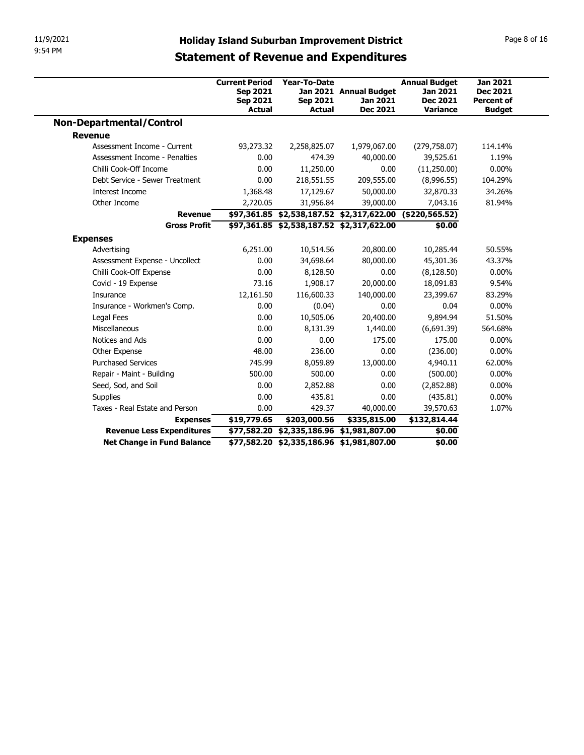| 11/9/2021                                                                                                                                                                                    | <b>Holiday Island Suburban Improvement District</b>              |                                                                                                                                                                        |                                                                            |                                                                                                             | Page 8 of 16                                                    |
|----------------------------------------------------------------------------------------------------------------------------------------------------------------------------------------------|------------------------------------------------------------------|------------------------------------------------------------------------------------------------------------------------------------------------------------------------|----------------------------------------------------------------------------|-------------------------------------------------------------------------------------------------------------|-----------------------------------------------------------------|
| 9:54 PM                                                                                                                                                                                      | <b>Statement of Revenue and Expenditures</b>                     |                                                                                                                                                                        |                                                                            |                                                                                                             |                                                                 |
|                                                                                                                                                                                              |                                                                  |                                                                                                                                                                        |                                                                            |                                                                                                             |                                                                 |
|                                                                                                                                                                                              | <b>Current Period</b>                                            | Year-To-Date                                                                                                                                                           |                                                                            | <b>Annual Budget</b>                                                                                        | <b>Jan 2021</b>                                                 |
|                                                                                                                                                                                              | Sep 2021                                                         |                                                                                                                                                                        | Jan 2021 Annual Budget                                                     | Jan 2021                                                                                                    | <b>Dec 2021</b>                                                 |
|                                                                                                                                                                                              | Sep 2021<br>Actual                                               | <b>Sep 2021</b><br>Actual                                                                                                                                              | Jan 2021<br>Dec 2021                                                       | <b>Dec 2021</b><br><b>Variance</b>                                                                          | <b>Percent of</b><br><b>Budget</b>                              |
| <b>Non-Departmental/Control</b>                                                                                                                                                              |                                                                  |                                                                                                                                                                        |                                                                            |                                                                                                             |                                                                 |
| <b>Revenue</b>                                                                                                                                                                               |                                                                  |                                                                                                                                                                        |                                                                            |                                                                                                             |                                                                 |
| Assessment Income - Current                                                                                                                                                                  | 93,273.32                                                        | 2,258,825.07                                                                                                                                                           | 1,979,067.00                                                               | (279, 758.07)                                                                                               | 114.14%                                                         |
| Assessment Income - Penalties                                                                                                                                                                | 0.00                                                             | 474.39                                                                                                                                                                 | 40,000.00                                                                  | 39,525.61                                                                                                   | 1.19%                                                           |
| Chilli Cook-Off Income                                                                                                                                                                       | 0.00                                                             | 11,250.00                                                                                                                                                              | 0.00                                                                       | (11,250.00)                                                                                                 | $0.00\%$                                                        |
| Debt Service - Sewer Treatment                                                                                                                                                               | 0.00                                                             | 218,551.55                                                                                                                                                             | 209,555.00                                                                 | (8,996.55)                                                                                                  | 104.29%                                                         |
| Interest Income                                                                                                                                                                              | 1,368.48                                                         | 17,129.67                                                                                                                                                              | 50,000.00                                                                  | 32,870.33                                                                                                   | 34.26%                                                          |
| Other Income                                                                                                                                                                                 | 2,720.05                                                         | 31,956.84                                                                                                                                                              | 39,000.00                                                                  | 7,043.16                                                                                                    | 81.94%                                                          |
| <b>Revenue</b>                                                                                                                                                                               |                                                                  |                                                                                                                                                                        | \$97,361.85 \$2,538,187.52 \$2,317,622.00 (\$220,565.52)                   |                                                                                                             |                                                                 |
| <b>Gross Profit</b>                                                                                                                                                                          |                                                                  | \$97,361.85 \$2,538,187.52 \$2,317,622.00                                                                                                                              |                                                                            | \$0.00                                                                                                      |                                                                 |
| <b>Expenses</b>                                                                                                                                                                              |                                                                  |                                                                                                                                                                        |                                                                            |                                                                                                             |                                                                 |
| Advertising                                                                                                                                                                                  | 6,251.00                                                         | 10,514.56                                                                                                                                                              | 20,800.00                                                                  | 10,285.44                                                                                                   | 50.55%                                                          |
| Assessment Expense - Uncollect                                                                                                                                                               | 0.00                                                             | 34,698.64                                                                                                                                                              | 80,000.00                                                                  | 45,301.36                                                                                                   | 43.37%                                                          |
| Chilli Cook-Off Expense                                                                                                                                                                      | 0.00                                                             | 8,128.50                                                                                                                                                               | 0.00                                                                       | (8, 128.50)                                                                                                 | $0.00\%$                                                        |
| Covid - 19 Expense                                                                                                                                                                           | 73.16                                                            | 1,908.17                                                                                                                                                               | 20,000.00                                                                  | 18,091.83                                                                                                   | 9.54%                                                           |
| Insurance                                                                                                                                                                                    | 12,161.50                                                        | 116,600.33                                                                                                                                                             | 140,000.00                                                                 | 23,399.67                                                                                                   | 83.29%                                                          |
| Insurance - Workmen's Comp.                                                                                                                                                                  | 0.00                                                             | (0.04)                                                                                                                                                                 | 0.00                                                                       | 0.04                                                                                                        | $0.00\%$                                                        |
| Legal Fees                                                                                                                                                                                   | 0.00                                                             | 10,505.06                                                                                                                                                              | 20,400.00                                                                  | 9,894.94                                                                                                    | 51.50%                                                          |
| Miscellaneous                                                                                                                                                                                | 0.00                                                             | 8,131.39                                                                                                                                                               | 1,440.00                                                                   | (6,691.39)                                                                                                  | 564.68%                                                         |
| Notices and Ads                                                                                                                                                                              | 0.00                                                             | 0.00                                                                                                                                                                   | 175.00                                                                     | 175.00                                                                                                      | $0.00\%$                                                        |
|                                                                                                                                                                                              |                                                                  |                                                                                                                                                                        |                                                                            |                                                                                                             |                                                                 |
|                                                                                                                                                                                              |                                                                  |                                                                                                                                                                        |                                                                            |                                                                                                             |                                                                 |
|                                                                                                                                                                                              |                                                                  |                                                                                                                                                                        |                                                                            |                                                                                                             |                                                                 |
|                                                                                                                                                                                              |                                                                  |                                                                                                                                                                        |                                                                            |                                                                                                             |                                                                 |
|                                                                                                                                                                                              |                                                                  |                                                                                                                                                                        |                                                                            |                                                                                                             |                                                                 |
|                                                                                                                                                                                              |                                                                  |                                                                                                                                                                        |                                                                            |                                                                                                             |                                                                 |
|                                                                                                                                                                                              |                                                                  |                                                                                                                                                                        |                                                                            |                                                                                                             |                                                                 |
| Net Change in Fund Balance                                                                                                                                                                   |                                                                  |                                                                                                                                                                        |                                                                            |                                                                                                             |                                                                 |
| Other Expense<br><b>Purchased Services</b><br>Repair - Maint - Building<br>Seed, Sod, and Soil<br>Supplies<br>Taxes - Real Estate and Person<br><b>Expenses</b><br>Revenue Less Expenditures | 48.00<br>745.99<br>500.00<br>0.00<br>0.00<br>0.00<br>\$19,779.65 | 236.00<br>8,059.89<br>500.00<br>2,852.88<br>435.81<br>429.37<br>\$203,000.56<br>\$77,582.20 \$2,335,186.96 \$1,981,807.00<br>\$77,582.20 \$2,335,186.96 \$1,981,807.00 | 0.00<br>13,000.00<br>0.00<br>0.00<br>$0.00\,$<br>40,000.00<br>\$335,815.00 | (236.00)<br>4,940.11<br>(500.00)<br>(2,852.88)<br>(435.81)<br>39,570.63<br>\$132,814.44<br>\$0.00<br>\$0.00 | $0.00\%$<br>62.00%<br>$0.00\%$<br>$0.00\%$<br>$0.00\%$<br>1.07% |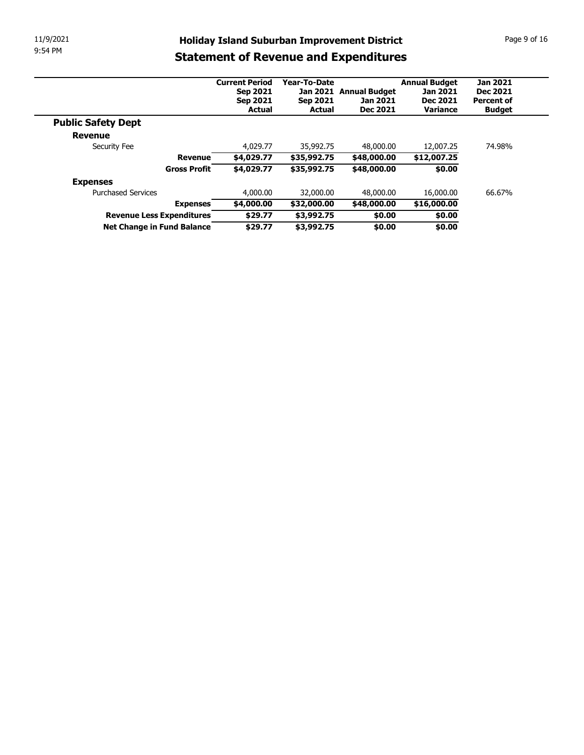| 11/9/2021 |                                                         |                                   |                          |                                                     |                                  | Page 9 of 16                       |
|-----------|---------------------------------------------------------|-----------------------------------|--------------------------|-----------------------------------------------------|----------------------------------|------------------------------------|
| 9:54 PM   |                                                         |                                   |                          | <b>Holiday Island Suburban Improvement District</b> |                                  |                                    |
|           |                                                         |                                   |                          | <b>Statement of Revenue and Expenditures</b>        |                                  |                                    |
|           |                                                         |                                   | Year-To-Date             |                                                     |                                  |                                    |
|           |                                                         | <b>Current Period</b><br>Sep 2021 |                          | Jan 2021 Annual Budget                              | <b>Annual Budget</b><br>Jan 2021 | <b>Jan 2021</b><br><b>Dec 2021</b> |
|           |                                                         | <b>Sep 2021</b>                   | <b>Sep 2021</b>          | Jan 2021                                            | Dec 2021                         | <b>Percent of</b>                  |
|           |                                                         | <b>Actual</b>                     | <b>Actual</b>            | Dec 2021                                            | Variance                         | <b>Budget</b>                      |
|           | <b>Public Safety Dept</b>                               |                                   |                          |                                                     |                                  |                                    |
|           | <b>Revenue</b>                                          |                                   |                          |                                                     |                                  |                                    |
|           | Security Fee<br><b>Revenue</b>                          | 4,029.77                          | 35,992.75                | 48,000.00                                           | 12,007.25                        | 74.98%                             |
|           | <b>Gross Profit</b>                                     | \$4,029.77                        | \$35,992.75              | \$48,000.00                                         | \$12,007.25                      |                                    |
|           |                                                         | \$4,029.77                        | \$35,992.75              | \$48,000.00                                         | \$0.00                           |                                    |
|           | <b>Expenses</b>                                         |                                   |                          |                                                     |                                  |                                    |
|           | <b>Purchased Services</b>                               | 4,000.00                          | 32,000.00                | 48,000.00                                           | 16,000.00                        | 66.67%                             |
|           | <b>Expenses</b>                                         | \$4,000.00                        | \$32,000.00              | \$48,000.00                                         | \$16,000.00                      |                                    |
|           | Revenue Less Expenditures<br>Net Change in Fund Balance | \$29.77<br>\$29.77                | \$3,992.75<br>\$3,992.75 | \$0.00<br>\$0.00                                    | \$0.00<br>\$0.00                 |                                    |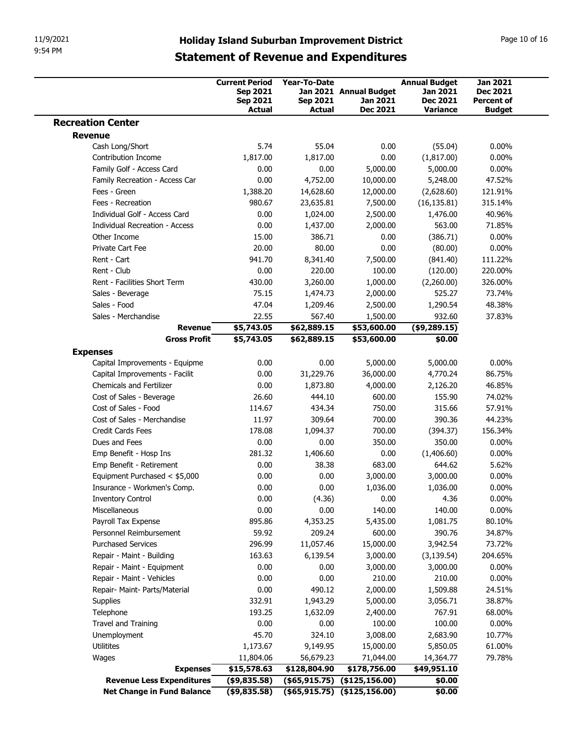|                                                                        | <b>Holiday Island Suburban Improvement District</b><br><b>Statement of Revenue and Expenditures</b> |                       |                                                    |                                  |                                    |
|------------------------------------------------------------------------|-----------------------------------------------------------------------------------------------------|-----------------------|----------------------------------------------------|----------------------------------|------------------------------------|
| 11/9/2021                                                              |                                                                                                     |                       |                                                    |                                  |                                    |
| 9:54 PM                                                                |                                                                                                     |                       |                                                    |                                  |                                    |
|                                                                        |                                                                                                     |                       |                                                    |                                  | Page 10 of 16                      |
|                                                                        |                                                                                                     |                       |                                                    |                                  |                                    |
|                                                                        | <b>Current Period</b>                                                                               | <b>Year-To-Date</b>   |                                                    | <b>Annual Budget</b><br>Jan 2021 | <b>Jan 2021</b><br><b>Dec 2021</b> |
|                                                                        | <b>Sep 2021</b><br>Sep 2021                                                                         | <b>Sep 2021</b>       | Jan 2021 Annual Budget<br>Jan 2021                 | <b>Dec 2021</b>                  | <b>Percent of</b>                  |
| <b>Recreation Center</b>                                               | <b>Actual</b>                                                                                       | <b>Actual</b>         | Dec 2021                                           | <b>Variance</b>                  | <b>Budget</b>                      |
| <b>Revenue</b>                                                         |                                                                                                     |                       |                                                    |                                  |                                    |
| Cash Long/Short                                                        | 5.74                                                                                                | 55.04                 | 0.00                                               | (55.04)                          | $0.00\%$                           |
| Contribution Income<br>Family Golf - Access Card                       | 1,817.00<br>0.00                                                                                    | 1,817.00<br>0.00      | 0.00<br>5,000.00                                   | (1,817.00)<br>5,000.00           | $0.00\%$<br>$0.00\%$               |
| Family Recreation - Access Car                                         | 0.00                                                                                                | 4,752.00              | 10,000.00                                          | 5,248.00                         | 47.52%                             |
| Fees - Green                                                           | 1,388.20                                                                                            | 14,628.60             | 12,000.00                                          | (2,628.60)                       | 121.91%                            |
| Fees - Recreation                                                      | 980.67                                                                                              | 23,635.81             | 7,500.00                                           | (16, 135.81)                     | 315.14%                            |
| Individual Golf - Access Card<br><b>Individual Recreation - Access</b> | 0.00<br>0.00                                                                                        | 1,024.00              | 2,500.00                                           | 1,476.00                         | 40.96%                             |
| Other Income                                                           | 15.00                                                                                               | 1,437.00<br>386.71    | 2,000.00<br>0.00                                   | 563.00<br>(386.71)               | 71.85%<br>$0.00\%$                 |
| Private Cart Fee                                                       | 20.00                                                                                               | 80.00                 | 0.00                                               | (80.00)                          | $0.00\%$                           |
| Rent - Cart                                                            | 941.70                                                                                              | 8,341.40              | 7,500.00                                           | (841.40)                         | 111.22%                            |
| Rent - Club                                                            | 0.00                                                                                                | 220.00                | 100.00                                             | (120.00)                         | 220.00%                            |
| Rent - Facilities Short Term                                           | 430.00                                                                                              | 3,260.00              | 1,000.00                                           | (2,260.00)                       | 326.00%                            |
| Sales - Beverage<br>Sales - Food                                       | 75.15<br>47.04                                                                                      | 1,474.73<br>1,209.46  | 2,000.00<br>2,500.00                               | 525.27<br>1,290.54               | 73.74%<br>48.38%                   |
| Sales - Merchandise                                                    | 22.55                                                                                               | 567.40                | 1,500.00                                           | 932.60                           | 37.83%                             |
| <b>Revenue</b>                                                         | \$5,743.05                                                                                          | \$62,889.15           | \$53,600.00                                        | $($ \$9,289.15)                  |                                    |
| <b>Gross Profit</b>                                                    | \$5,743.05                                                                                          | \$62,889.15           | \$53,600.00                                        | \$0.00                           |                                    |
| <b>Expenses</b>                                                        |                                                                                                     |                       |                                                    |                                  |                                    |
| Capital Improvements - Equipme<br>Capital Improvements - Facilit       | 0.00<br>0.00                                                                                        | 0.00                  | 5,000.00<br>36,000.00                              | 5,000.00<br>4,770.24             | $0.00\%$<br>86.75%                 |
| <b>Chemicals and Fertilizer</b>                                        | 0.00                                                                                                | 31,229.76<br>1,873.80 | 4,000.00                                           | 2,126.20                         | 46.85%                             |
| Cost of Sales - Beverage                                               | 26.60                                                                                               | 444.10                | 600.00                                             | 155.90                           | 74.02%                             |
| Cost of Sales - Food                                                   | 114.67                                                                                              | 434.34                | 750.00                                             | 315.66                           | 57.91%                             |
| Cost of Sales - Merchandise                                            | 11.97                                                                                               | 309.64                | 700.00                                             | 390.36                           | 44.23%                             |
| Credit Cards Fees                                                      | 178.08                                                                                              | 1,094.37              | 700.00                                             | (394.37)                         | 156.34%                            |
| Dues and Fees<br>Emp Benefit - Hosp Ins                                | 0.00<br>281.32                                                                                      | 0.00<br>1,406.60      | 350.00<br>0.00                                     | 350.00<br>(1,406.60)             | $0.00\%$<br>$0.00\%$               |
| Emp Benefit - Retirement                                               | 0.00                                                                                                | 38.38                 | 683.00                                             | 644.62                           | 5.62%                              |
| Equipment Purchased < \$5,000                                          | 0.00                                                                                                | 0.00                  | 3,000.00                                           | 3,000.00                         | $0.00\%$                           |
| Insurance - Workmen's Comp.                                            | 0.00                                                                                                | 0.00                  | 1,036.00                                           | 1,036.00                         | $0.00\%$                           |
| <b>Inventory Control</b><br>Miscellaneous                              | 0.00                                                                                                | (4.36)                | 0.00                                               | 4.36                             | $0.00\%$                           |
|                                                                        | 0.00<br>895.86                                                                                      | 0.00<br>4,353.25      | 140.00<br>5,435.00                                 | 140.00<br>1,081.75               | $0.00\%$<br>80.10%                 |
|                                                                        | 59.92                                                                                               | 209.24                | 600.00                                             | 390.76                           | 34.87%                             |
| Payroll Tax Expense                                                    |                                                                                                     | 11,057.46             | 15,000.00                                          | 3,942.54                         | 73.72%                             |
| Personnel Reimbursement<br><b>Purchased Services</b>                   | 296.99                                                                                              |                       | 3,000.00                                           | (3, 139.54)                      | 204.65%                            |
| Repair - Maint - Building                                              | 163.63                                                                                              | 6,139.54              |                                                    |                                  |                                    |
| Repair - Maint - Equipment                                             | 0.00                                                                                                | 0.00                  | 3,000.00                                           | 3,000.00                         | $0.00\%$                           |
| Repair - Maint - Vehicles                                              | 0.00                                                                                                | 0.00                  | 210.00                                             | 210.00                           | $0.00\%$                           |
| Repair- Maint- Parts/Material                                          | 0.00                                                                                                | 490.12                | 2,000.00                                           | 1,509.88                         | 24.51%                             |
| Supplies                                                               | 332.91                                                                                              | 1,943.29              | 5,000.00                                           | 3,056.71                         | 38.87%                             |
| Telephone<br>Travel and Training                                       | 193.25<br>0.00                                                                                      | 1,632.09<br>0.00      | 2,400.00<br>100.00                                 | 767.91<br>100.00                 | 68.00%<br>$0.00\%$                 |
| Unemployment                                                           | 45.70                                                                                               | 324.10                | 3,008.00                                           | 2,683.90                         | 10.77%                             |
| Utilitites                                                             | 1,173.67                                                                                            | 9,149.95              | 15,000.00                                          | 5,850.05                         | 61.00%                             |
| Wages                                                                  | 11,804.06                                                                                           | 56,679.23             | 71,044.00                                          | 14,364.77                        | 79.78%                             |
| <b>Expenses</b><br><b>Revenue Less Expenditures</b>                    | \$15,578.63<br>$($ \$9,835.58)                                                                      | \$128,804.90          | \$178,756.00<br>$($ \$65,915.75) $($ \$125,156.00) | \$49,951.10<br>\$0.00            |                                    |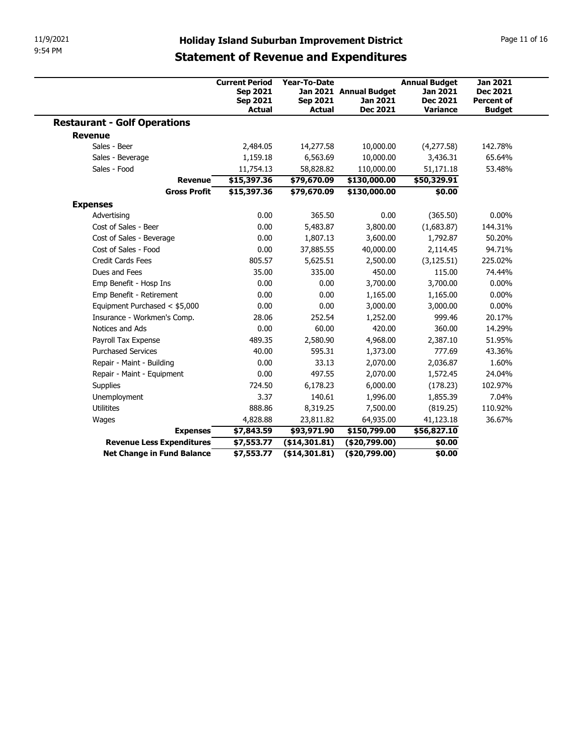| 11/9/2021<br>9:54 PM                |                                                                              |                                                  |                                                                                                     |                                                                        |                                                                          |
|-------------------------------------|------------------------------------------------------------------------------|--------------------------------------------------|-----------------------------------------------------------------------------------------------------|------------------------------------------------------------------------|--------------------------------------------------------------------------|
|                                     |                                                                              |                                                  | <b>Holiday Island Suburban Improvement District</b><br><b>Statement of Revenue and Expenditures</b> |                                                                        | Page 11 of 16                                                            |
|                                     | <b>Current Period</b><br><b>Sep 2021</b><br><b>Sep 2021</b><br><b>Actual</b> | Year-To-Date<br><b>Sep 2021</b><br><b>Actual</b> | Jan 2021 Annual Budget<br>Jan 2021<br>Dec 2021                                                      | <b>Annual Budget</b><br><b>Jan 2021</b><br><b>Dec 2021</b><br>Variance | <b>Jan 2021</b><br><b>Dec 2021</b><br><b>Percent of</b><br><b>Budget</b> |
| <b>Restaurant - Golf Operations</b> |                                                                              |                                                  |                                                                                                     |                                                                        |                                                                          |
| <b>Revenue</b>                      |                                                                              |                                                  |                                                                                                     |                                                                        |                                                                          |
| Sales - Beer                        | 2,484.05                                                                     | 14,277.58                                        | 10,000.00                                                                                           | (4,277.58)                                                             | 142.78%                                                                  |
| Sales - Beverage                    | 1,159.18                                                                     | 6,563.69                                         | 10,000.00                                                                                           | 3,436.31                                                               | 65.64%                                                                   |
| Sales - Food                        | 11,754.13                                                                    | 58,828.82                                        | 110,000.00                                                                                          | 51,171.18                                                              | 53.48%                                                                   |
| <b>Revenue</b>                      | \$15,397.36                                                                  | \$79,670.09                                      | \$130,000.00                                                                                        | \$50,329.91                                                            |                                                                          |
| <b>Gross Profit</b>                 | \$15,397.36                                                                  | \$79,670.09                                      | \$130,000.00                                                                                        | \$0.00                                                                 |                                                                          |
| <b>Expenses</b>                     |                                                                              |                                                  |                                                                                                     |                                                                        |                                                                          |
| Advertising                         | 0.00                                                                         | 365.50                                           | $0.00\,$                                                                                            | (365.50)                                                               | $0.00\%$                                                                 |
| Cost of Sales - Beer                | 0.00                                                                         | 5,483.87                                         | 3,800.00                                                                                            | (1,683.87)                                                             | 144.31%                                                                  |
| Cost of Sales - Beverage            | 0.00                                                                         | 1,807.13                                         | 3,600.00                                                                                            | 1,792.87                                                               | 50.20%                                                                   |
| Cost of Sales - Food                | 0.00                                                                         | 37,885.55                                        | 40,000.00                                                                                           | 2,114.45                                                               | 94.71%                                                                   |
| Credit Cards Fees                   | 805.57                                                                       | 5,625.51                                         | 2,500.00                                                                                            | (3, 125.51)                                                            | 225.02%                                                                  |
| Dues and Fees                       | 35.00                                                                        | 335.00                                           | 450.00                                                                                              | 115.00                                                                 | 74.44%                                                                   |
| Emp Benefit - Hosp Ins              | 0.00                                                                         | 0.00                                             | 3,700.00                                                                                            | 3,700.00                                                               | $0.00\%$                                                                 |
| Emp Benefit - Retirement            | 0.00                                                                         | 0.00                                             | 1,165.00                                                                                            | 1,165.00                                                               | $0.00\%$                                                                 |
| Equipment Purchased < \$5,000       | 0.00                                                                         | 0.00                                             | 3,000.00                                                                                            | 3,000.00                                                               | $0.00\%$                                                                 |
| Insurance - Workmen's Comp.         | 28.06                                                                        | 252.54                                           | 1,252.00                                                                                            | 999.46                                                                 | 20.17%                                                                   |
| Notices and Ads                     | 0.00                                                                         | 60.00                                            | 420.00                                                                                              | 360.00                                                                 | 14.29%                                                                   |
| Payroll Tax Expense                 | 489.35                                                                       | 2,580.90                                         | 4,968.00                                                                                            | 2,387.10                                                               | 51.95%                                                                   |
| <b>Purchased Services</b>           | 40.00                                                                        | 595.31                                           | 1,373.00                                                                                            | 777.69                                                                 | 43.36%                                                                   |
| Repair - Maint - Building           | 0.00                                                                         | 33.13                                            | 2,070.00                                                                                            | 2,036.87                                                               | 1.60%                                                                    |
| Repair - Maint - Equipment          | 0.00                                                                         | 497.55                                           | 2,070.00                                                                                            | 1,572.45                                                               | 24.04%                                                                   |
| Supplies                            | 724.50                                                                       | 6,178.23                                         | 6,000.00                                                                                            | (178.23)                                                               | 102.97%                                                                  |
|                                     | 3.37                                                                         | 140.61                                           | 1,996.00                                                                                            | 1,855.39                                                               | 7.04%                                                                    |
| Unemployment                        | 888.86                                                                       | 8,319.25                                         | 7,500.00                                                                                            | (819.25)                                                               | 110.92%                                                                  |
| Utilitites                          | 4,828.88                                                                     | 23,811.82                                        | 64,935.00                                                                                           | 41,123.18                                                              | 36.67%                                                                   |
| Wages                               |                                                                              | \$93,971.90                                      | \$150,799.00                                                                                        | \$56,827.10                                                            |                                                                          |
| <b>Expenses</b>                     | \$7,843.59                                                                   |                                                  |                                                                                                     | \$0.00                                                                 |                                                                          |
| <b>Revenue Less Expenditures</b>    | \$7,553.77                                                                   | ( \$14, 301.81)                                  | (\$20,799.00)                                                                                       |                                                                        |                                                                          |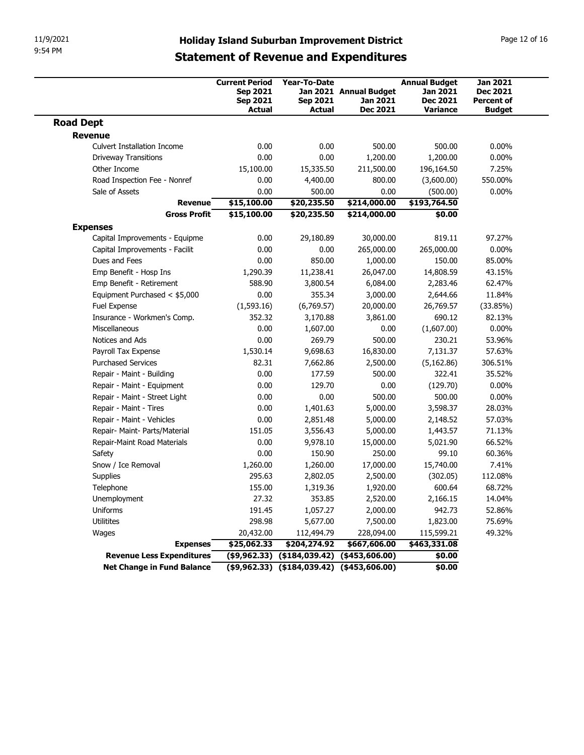| 9:54 PM                                                 |                                                      |                                                     | <b>Holiday Island Suburban Improvement District</b> |                                                     | Page 12 of 16                                           |
|---------------------------------------------------------|------------------------------------------------------|-----------------------------------------------------|-----------------------------------------------------|-----------------------------------------------------|---------------------------------------------------------|
|                                                         |                                                      |                                                     | <b>Statement of Revenue and Expenditures</b>        |                                                     |                                                         |
|                                                         | <b>Current Period</b><br><b>Sep 2021</b><br>Sep 2021 | <b>Year-To-Date</b><br><b>Sep 2021</b>              | Jan 2021 Annual Budget<br>Jan 2021                  | <b>Annual Budget</b><br>Jan 2021<br><b>Dec 2021</b> | <b>Jan 2021</b><br><b>Dec 2021</b><br><b>Percent of</b> |
| <b>Road Dept</b>                                        | <b>Actual</b>                                        | <b>Actual</b>                                       | Dec 2021                                            | <b>Variance</b>                                     | <b>Budget</b>                                           |
| <b>Revenue</b>                                          |                                                      |                                                     |                                                     |                                                     |                                                         |
| <b>Culvert Installation Income</b>                      | 0.00                                                 | 0.00                                                | 500.00                                              | 500.00                                              | $0.00\%$                                                |
| <b>Driveway Transitions</b>                             | 0.00                                                 | 0.00                                                | 1,200.00                                            | 1,200.00                                            | $0.00\%$                                                |
| Other Income<br>Road Inspection Fee - Nonref            | 15,100.00<br>0.00                                    | 15,335.50<br>4,400.00                               | 211,500.00<br>800.00                                | 196,164.50<br>(3,600.00)                            | 7.25%<br>550.00%                                        |
| Sale of Assets                                          | 0.00                                                 | 500.00                                              | 0.00                                                | (500.00)                                            | $0.00\%$                                                |
| <b>Revenue</b><br><b>Gross Profit</b>                   | \$15,100.00<br>\$15,100.00                           | \$20,235.50<br>\$20,235.50                          | \$214,000.00<br>\$214,000.00                        | \$193,764.50<br>\$0.00                              |                                                         |
| <b>Expenses</b>                                         |                                                      |                                                     |                                                     |                                                     |                                                         |
| Capital Improvements - Equipme                          | 0.00                                                 | 29,180.89                                           | 30,000.00                                           | 819.11                                              | 97.27%                                                  |
| Capital Improvements - Facilit                          | 0.00                                                 | 0.00                                                | 265,000.00                                          | 265,000.00                                          | $0.00\%$                                                |
| Dues and Fees                                           | 0.00                                                 | 850.00                                              | 1,000.00                                            | 150.00                                              | 85.00%                                                  |
| Emp Benefit - Hosp Ins<br>Emp Benefit - Retirement      | 1,290.39<br>588.90                                   | 11,238.41                                           | 26,047.00<br>6,084.00                               | 14,808.59                                           | 43.15%<br>62.47%                                        |
| Equipment Purchased < \$5,000                           | 0.00                                                 | 3,800.54<br>355.34                                  | 3,000.00                                            | 2,283.46<br>2,644.66                                | 11.84%                                                  |
| Fuel Expense                                            | (1,593.16)                                           | (6,769.57)                                          | 20,000.00                                           | 26,769.57                                           | (33.85%)                                                |
| Insurance - Workmen's Comp.                             | 352.32                                               | 3,170.88                                            | 3,861.00                                            | 690.12                                              | 82.13%                                                  |
| Miscellaneous                                           | 0.00                                                 | 1,607.00                                            | 0.00                                                | (1,607.00)                                          | $0.00\%$                                                |
| Notices and Ads                                         | 0.00                                                 | 269.79                                              | 500.00                                              | 230.21                                              | 53.96%                                                  |
| Payroll Tax Expense                                     | 1,530.14                                             | 9,698.63                                            | 16,830.00                                           | 7,131.37                                            | 57.63%                                                  |
| <b>Purchased Services</b>                               | 82.31                                                | 7,662.86                                            | 2,500.00                                            | (5,162.86)                                          | 306.51%                                                 |
| Repair - Maint - Building<br>Repair - Maint - Equipment | 0.00<br>0.00                                         | 177.59<br>129.70                                    | 500.00<br>0.00                                      | 322.41<br>(129.70)                                  | 35.52%<br>$0.00\%$                                      |
| Repair - Maint - Street Light                           | 0.00                                                 | 0.00                                                | 500.00                                              | 500.00                                              | $0.00\%$                                                |
| Repair - Maint - Tires                                  | 0.00                                                 | 1,401.63                                            | 5,000.00                                            | 3,598.37                                            | 28.03%                                                  |
| Repair - Maint - Vehicles                               | 0.00                                                 | 2,851.48                                            | 5,000.00                                            | 2,148.52                                            | 57.03%                                                  |
| Repair- Maint- Parts/Material                           | 151.05                                               | 3,556.43                                            | 5,000.00                                            | 1,443.57                                            | 71.13%                                                  |
| Repair-Maint Road Materials                             | 0.00                                                 | 9,978.10                                            | 15,000.00                                           | 5,021.90                                            | 66.52%                                                  |
| Safety                                                  | 0.00                                                 | 150.90                                              | 250.00                                              | 99.10                                               | 60.36%                                                  |
| Snow / Ice Removal                                      | 1,260.00                                             | 1,260.00                                            | 17,000.00                                           | 15,740.00                                           | 7.41%                                                   |
| Supplies                                                | 295.63                                               | 2,802.05                                            | 2,500.00                                            | (302.05)                                            | 112.08%                                                 |
| Telephone                                               | 155.00                                               | 1,319.36                                            | 1,920.00                                            | 600.64                                              | 68.72%                                                  |
| Unemployment                                            | 27.32                                                | 353.85                                              | 2,520.00                                            | 2,166.15                                            | 14.04%                                                  |
| Uniforms                                                | 191.45                                               | 1,057.27                                            | 2,000.00                                            | 942.73                                              | 52.86%                                                  |
| Utilitites                                              | 298.98                                               | 5,677.00                                            | 7,500.00                                            | 1,823.00                                            | 75.69%                                                  |
|                                                         | 20,432.00<br>\$25,062.33                             | 112,494.79<br>\$204,274.92                          | 228,094.00<br>\$667,606.00                          | 115,599.21<br>\$463,331.08                          | 49.32%                                                  |
| Wages                                                   |                                                      |                                                     |                                                     |                                                     |                                                         |
| <b>Expenses</b><br><b>Revenue Less Expenditures</b>     |                                                      | $($ \$9,962.33) $($ \$184,039.42) $($ \$453,606.00) |                                                     | \$0.00                                              |                                                         |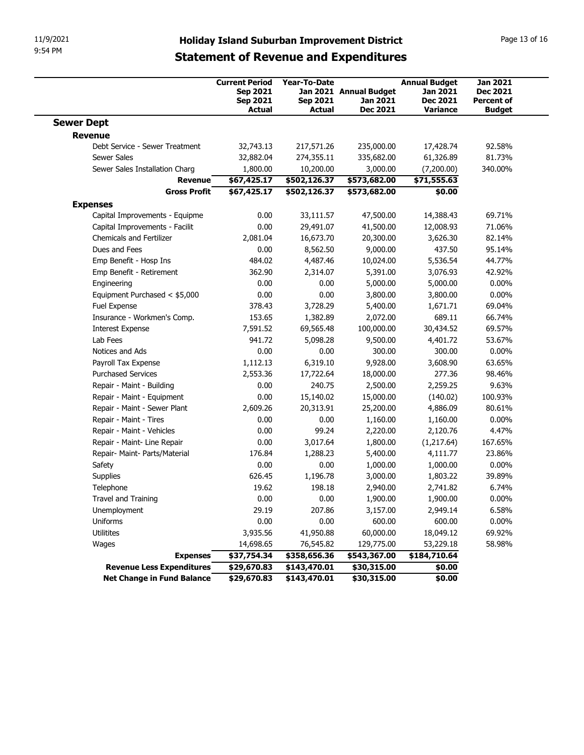| 11/9/2021                                            | <b>Holiday Island Suburban Improvement District</b>                          |                                           |                                                |                                                                 | Page 13 of 16                                                            |  |
|------------------------------------------------------|------------------------------------------------------------------------------|-------------------------------------------|------------------------------------------------|-----------------------------------------------------------------|--------------------------------------------------------------------------|--|
| 9:54 PM                                              | <b>Statement of Revenue and Expenditures</b>                                 |                                           |                                                |                                                                 |                                                                          |  |
|                                                      | <b>Current Period</b><br><b>Sep 2021</b><br><b>Sep 2021</b><br><b>Actual</b> | <b>Year-To-Date</b><br>Sep 2021<br>Actual | Jan 2021 Annual Budget<br>Jan 2021<br>Dec 2021 | <b>Annual Budget</b><br>Jan 2021<br><b>Dec 2021</b><br>Variance | <b>Jan 2021</b><br><b>Dec 2021</b><br><b>Percent of</b><br><b>Budget</b> |  |
| <b>Sewer Dept</b>                                    |                                                                              |                                           |                                                |                                                                 |                                                                          |  |
| Revenue                                              |                                                                              |                                           |                                                |                                                                 |                                                                          |  |
| Debt Service - Sewer Treatment<br><b>Sewer Sales</b> | 32,743.13<br>32,882.04                                                       | 217,571.26<br>274,355.11                  | 235,000.00<br>335,682.00                       | 17,428.74<br>61,326.89                                          | 92.58%<br>81.73%                                                         |  |
| Sewer Sales Installation Charg                       | 1,800.00                                                                     | 10,200.00                                 | 3,000.00                                       | (7,200.00)                                                      | 340.00%                                                                  |  |
| Revenue                                              | \$67,425.17                                                                  | \$502,126.37                              | \$573,682.00                                   | \$71,555.63                                                     |                                                                          |  |
| <b>Gross Profit</b>                                  | \$67,425.17                                                                  | \$502,126.37                              | \$573,682.00                                   | \$0.00                                                          |                                                                          |  |
| <b>Expenses</b>                                      |                                                                              |                                           |                                                |                                                                 |                                                                          |  |
| Capital Improvements - Equipme                       | 0.00                                                                         | 33,111.57                                 | 47,500.00                                      | 14,388.43                                                       | 69.71%                                                                   |  |
| Capital Improvements - Facilit                       | 0.00                                                                         | 29,491.07                                 | 41,500.00                                      | 12,008.93                                                       | 71.06%                                                                   |  |
| Chemicals and Fertilizer                             | 2,081.04                                                                     | 16,673.70                                 | 20,300.00                                      | 3,626.30                                                        | 82.14%                                                                   |  |
| Dues and Fees                                        | 0.00                                                                         | 8,562.50                                  | 9,000.00                                       | 437.50                                                          | 95.14%                                                                   |  |
| Emp Benefit - Hosp Ins<br>Emp Benefit - Retirement   | 484.02<br>362.90                                                             | 4,487.46<br>2,314.07                      | 10,024.00<br>5,391.00                          | 5,536.54<br>3,076.93                                            | 44.77%<br>42.92%                                                         |  |
| Engineering                                          | 0.00                                                                         | 0.00                                      | 5,000.00                                       | 5,000.00                                                        | $0.00\%$                                                                 |  |
| Equipment Purchased < \$5,000                        | 0.00                                                                         | 0.00                                      | 3,800.00                                       | 3,800.00                                                        | $0.00\%$                                                                 |  |
| Fuel Expense                                         | 378.43                                                                       | 3,728.29                                  | 5,400.00                                       | 1,671.71                                                        | 69.04%                                                                   |  |
| Insurance - Workmen's Comp.                          | 153.65                                                                       | 1,382.89                                  | 2,072.00                                       | 689.11                                                          | 66.74%                                                                   |  |
| <b>Interest Expense</b>                              | 7,591.52                                                                     | 69,565.48                                 | 100,000.00                                     | 30,434.52                                                       | 69.57%                                                                   |  |
| Lab Fees                                             | 941.72                                                                       | 5,098.28                                  | 9,500.00                                       | 4,401.72                                                        | 53.67%                                                                   |  |
| Notices and Ads                                      | 0.00                                                                         | 0.00                                      | 300.00                                         | 300.00                                                          | $0.00\%$                                                                 |  |
| Payroll Tax Expense<br><b>Purchased Services</b>     | 1,112.13<br>2,553.36                                                         | 6,319.10<br>17,722.64                     | 9,928.00<br>18,000.00                          | 3,608.90<br>277.36                                              | 63.65%<br>98.46%                                                         |  |
| Repair - Maint - Building                            | 0.00                                                                         | 240.75                                    | 2,500.00                                       | 2,259.25                                                        | 9.63%                                                                    |  |
| Repair - Maint - Equipment                           | 0.00                                                                         | 15,140.02                                 | 15,000.00                                      | (140.02)                                                        | 100.93%                                                                  |  |
| Repair - Maint - Sewer Plant                         | 2,609.26                                                                     | 20,313.91                                 | 25,200.00                                      | 4,886.09                                                        | 80.61%                                                                   |  |
| Repair - Maint - Tires                               | 0.00                                                                         | 0.00                                      | 1,160.00                                       | 1,160.00                                                        | $0.00\%$                                                                 |  |
| Repair - Maint - Vehicles                            | 0.00                                                                         | 99.24                                     | 2,220.00                                       | 2,120.76                                                        | 4.47%                                                                    |  |
| Repair - Maint- Line Repair                          | 0.00                                                                         | 3,017.64                                  | 1,800.00                                       | (1,217.64)                                                      | 167.65%                                                                  |  |
| Repair- Maint- Parts/Material                        | 176.84                                                                       | 1,288.23                                  | 5,400.00                                       | 4,111.77                                                        | 23.86%                                                                   |  |
| Safety                                               | 0.00                                                                         | 0.00                                      | 1,000.00                                       | 1,000.00                                                        | $0.00\%$                                                                 |  |
| Supplies                                             | 626.45                                                                       | 1,196.78                                  | 3,000.00                                       | 1,803.22                                                        | 39.89%                                                                   |  |
| Telephone                                            | 19.62                                                                        | 198.18                                    | 2,940.00                                       | 2,741.82                                                        | 6.74%                                                                    |  |
| Travel and Training                                  | 0.00                                                                         | 0.00                                      | 1,900.00                                       | 1,900.00                                                        | $0.00\%$                                                                 |  |
| Unemployment<br>Uniforms                             | 29.19<br>0.00                                                                | 207.86<br>0.00                            | 3,157.00<br>600.00                             | 2,949.14<br>600.00                                              | 6.58%<br>$0.00\%$                                                        |  |
| Utilitites                                           | 3,935.56                                                                     | 41,950.88                                 | 60,000.00                                      | 18,049.12                                                       | 69.92%                                                                   |  |
| Wages                                                | 14,698.65                                                                    | 76,545.82                                 | 129,775.00                                     | 53,229.18                                                       | 58.98%                                                                   |  |
| <b>Expenses</b>                                      | \$37,754.34                                                                  | \$358,656.36                              | \$543,367.00                                   | \$184,710.64                                                    |                                                                          |  |
|                                                      | \$29,670.83                                                                  | \$143,470.01                              | \$30,315.00                                    | \$0.00                                                          |                                                                          |  |
| Revenue Less Expenditures                            |                                                                              |                                           |                                                |                                                                 |                                                                          |  |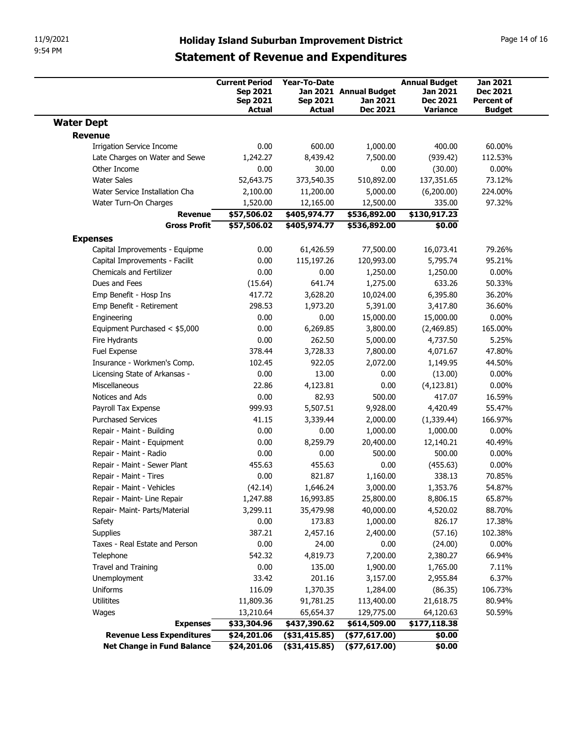|                                                              | Page 14 of 16                                                                |                                                  |                                                       |                                                                 |                                                                          |
|--------------------------------------------------------------|------------------------------------------------------------------------------|--------------------------------------------------|-------------------------------------------------------|-----------------------------------------------------------------|--------------------------------------------------------------------------|
|                                                              | <b>Current Period</b><br><b>Sep 2021</b><br><b>Sep 2021</b><br><b>Actual</b> | <b>Year-To-Date</b><br><b>Sep 2021</b><br>Actual | Jan 2021 Annual Budget<br>Jan 2021<br><b>Dec 2021</b> | <b>Annual Budget</b><br>Jan 2021<br><b>Dec 2021</b><br>Variance | <b>Jan 2021</b><br><b>Dec 2021</b><br><b>Percent of</b><br><b>Budget</b> |
| <b>Water Dept</b>                                            |                                                                              |                                                  |                                                       |                                                                 |                                                                          |
| Revenue                                                      |                                                                              |                                                  |                                                       |                                                                 |                                                                          |
| <b>Irrigation Service Income</b>                             | 0.00                                                                         | 600.00                                           | 1,000.00                                              | 400.00                                                          | 60.00%                                                                   |
| Late Charges on Water and Sewe                               | 1,242.27                                                                     | 8,439.42                                         | 7,500.00                                              | (939.42)                                                        | 112.53%                                                                  |
| Other Income<br><b>Water Sales</b>                           | 0.00<br>52,643.75                                                            | 30.00<br>373,540.35                              | 0.00<br>510,892.00                                    | (30.00)<br>137,351.65                                           | $0.00\%$<br>73.12%                                                       |
| Water Service Installation Cha                               | 2,100.00                                                                     | 11,200.00                                        | 5,000.00                                              | (6,200.00)                                                      | 224.00%                                                                  |
| Water Turn-On Charges                                        | 1,520.00                                                                     | 12,165.00                                        | 12,500.00                                             | 335.00                                                          | 97.32%                                                                   |
| Revenue                                                      | \$57,506.02                                                                  | \$405,974.77                                     | \$536,892.00                                          | \$130,917.23                                                    |                                                                          |
| <b>Gross Profit</b>                                          | \$57,506.02                                                                  | \$405,974.77                                     | \$536,892.00                                          | \$0.00                                                          |                                                                          |
| <b>Expenses</b>                                              |                                                                              |                                                  |                                                       |                                                                 |                                                                          |
| Capital Improvements - Equipme                               | 0.00                                                                         | 61,426.59                                        | 77,500.00                                             | 16,073.41                                                       | 79.26%                                                                   |
| Capital Improvements - Facilit<br>Chemicals and Fertilizer   | 0.00<br>0.00                                                                 | 115,197.26<br>0.00                               | 120,993.00<br>1,250.00                                | 5,795.74<br>1,250.00                                            | 95.21%<br>$0.00\%$                                                       |
| Dues and Fees                                                | (15.64)                                                                      | 641.74                                           | 1,275.00                                              | 633.26                                                          | 50.33%                                                                   |
| Emp Benefit - Hosp Ins                                       | 417.72                                                                       | 3,628.20                                         | 10,024.00                                             | 6,395.80                                                        | 36.20%                                                                   |
| Emp Benefit - Retirement                                     | 298.53                                                                       | 1,973.20                                         | 5,391.00                                              | 3,417.80                                                        | 36.60%                                                                   |
| Engineering                                                  | 0.00                                                                         | 0.00                                             | 15,000.00                                             | 15,000.00                                                       | $0.00\%$                                                                 |
| Equipment Purchased < \$5,000                                | 0.00                                                                         | 6,269.85                                         | 3,800.00                                              | (2,469.85)                                                      | 165.00%                                                                  |
| Fire Hydrants                                                | 0.00                                                                         | 262.50                                           | 5,000.00                                              | 4,737.50                                                        | 5.25%                                                                    |
| Fuel Expense                                                 | 378.44                                                                       | 3,728.33<br>922.05                               | 7,800.00                                              | 4,071.67                                                        | 47.80%<br>44.50%                                                         |
| Insurance - Workmen's Comp.<br>Licensing State of Arkansas - | 102.45<br>0.00                                                               | 13.00                                            | 2,072.00<br>0.00                                      | 1,149.95<br>(13.00)                                             | $0.00\%$                                                                 |
| Miscellaneous                                                | 22.86                                                                        | 4,123.81                                         | 0.00                                                  | (4, 123.81)                                                     | $0.00\%$                                                                 |
| Notices and Ads                                              | 0.00                                                                         | 82.93                                            | 500.00                                                | 417.07                                                          | 16.59%                                                                   |
| Payroll Tax Expense                                          | 999.93                                                                       | 5,507.51                                         | 9,928.00                                              | 4,420.49                                                        | 55.47%                                                                   |
| <b>Purchased Services</b>                                    | 41.15                                                                        | 3,339.44                                         | 2,000.00                                              | (1,339.44)                                                      | 166.97%                                                                  |
| Repair - Maint - Building                                    | 0.00                                                                         | 0.00                                             | 1,000.00                                              | 1,000.00                                                        | $0.00\%$                                                                 |
| Repair - Maint - Equipment<br>Repair - Maint - Radio         | 0.00<br>0.00                                                                 | 8,259.79<br>0.00                                 | 20,400.00<br>500.00                                   | 12,140.21<br>500.00                                             | 40.49%<br>$0.00\%$                                                       |
| Repair - Maint - Sewer Plant                                 | 455.63                                                                       | 455.63                                           | 0.00                                                  | (455.63)                                                        | $0.00\%$                                                                 |
| Repair - Maint - Tires                                       | 0.00                                                                         | 821.87                                           | 1,160.00                                              | 338.13                                                          | 70.85%                                                                   |
| Repair - Maint - Vehicles                                    | (42.14)                                                                      | 1,646.24                                         | 3,000.00                                              | 1,353.76                                                        | 54.87%                                                                   |
| Repair - Maint- Line Repair                                  | 1,247.88                                                                     | 16,993.85                                        | 25,800.00                                             | 8,806.15                                                        | 65.87%                                                                   |
| Repair- Maint- Parts/Material                                | 3,299.11                                                                     | 35,479.98                                        | 40,000.00                                             | 4,520.02                                                        | 88.70%                                                                   |
| Safety                                                       | 0.00                                                                         | 173.83                                           | 1,000.00                                              | 826.17                                                          | 17.38%                                                                   |
| Supplies                                                     | 387.21                                                                       | 2,457.16                                         | 2,400.00                                              | (57.16)                                                         | 102.38%                                                                  |
| Taxes - Real Estate and Person                               | 0.00                                                                         | 24.00                                            | 0.00                                                  | (24.00)                                                         | $0.00\%$                                                                 |
| Telephone                                                    | 542.32                                                                       | 4,819.73                                         | 7,200.00                                              | 2,380.27                                                        | 66.94%                                                                   |
| Travel and Training<br>Unemployment                          | 0.00<br>33.42                                                                | 135.00<br>201.16                                 | 1,900.00<br>3,157.00                                  | 1,765.00<br>2,955.84                                            | 7.11%<br>6.37%                                                           |
|                                                              | 116.09                                                                       | 1,370.35                                         | 1,284.00                                              | (86.35)                                                         | 106.73%                                                                  |
|                                                              |                                                                              |                                                  | 113,400.00                                            | 21,618.75                                                       | 80.94%                                                                   |
| Uniforms                                                     |                                                                              |                                                  |                                                       |                                                                 |                                                                          |
| Utilitites<br>Wages                                          | 11,809.36<br>13,210.64                                                       | 91,781.25<br>65,654.37                           | 129,775.00                                            | 64,120.63                                                       | 50.59%                                                                   |
| <b>Expenses</b>                                              | \$33,304.96                                                                  | \$437,390.62                                     | \$614,509.00                                          | \$177,118.38                                                    |                                                                          |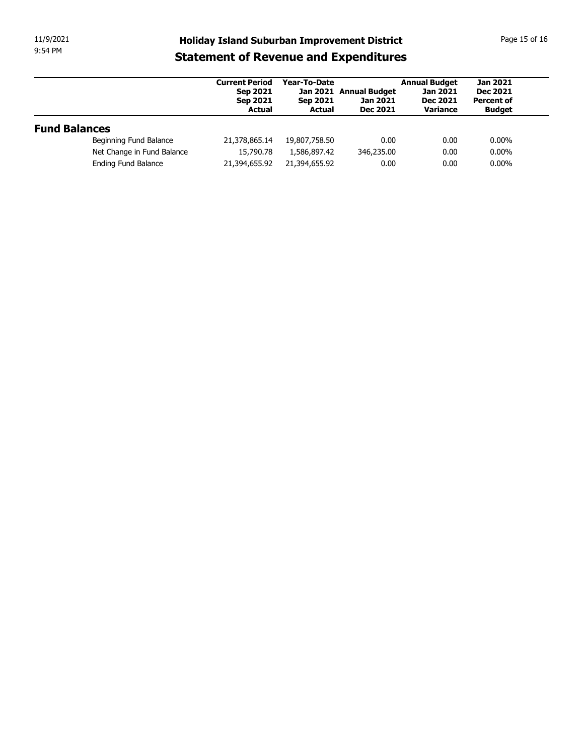## 9:54 PM

| 11/9/2021            |                                                   | <b>Holiday Island Suburban Improvement District</b>            |                                           |                                                       |                                                                 | Page 15 of 16                                                            |
|----------------------|---------------------------------------------------|----------------------------------------------------------------|-------------------------------------------|-------------------------------------------------------|-----------------------------------------------------------------|--------------------------------------------------------------------------|
| 9:54 PM              |                                                   | <b>Statement of Revenue and Expenditures</b>                   |                                           |                                                       |                                                                 |                                                                          |
|                      |                                                   | <b>Current Period</b><br>Sep 2021<br>Sep 2021<br><b>Actual</b> | Year-To-Date<br><b>Sep 2021</b><br>Actual | Jan 2021 Annual Budget<br>Jan 2021<br><b>Dec 2021</b> | <b>Annual Budget</b><br>Jan 2021<br><b>Dec 2021</b><br>Variance | <b>Jan 2021</b><br><b>Dec 2021</b><br><b>Percent of</b><br><b>Budget</b> |
|                      |                                                   |                                                                |                                           |                                                       |                                                                 |                                                                          |
| <b>Fund Balances</b> |                                                   |                                                                |                                           |                                                       |                                                                 |                                                                          |
|                      | Beginning Fund Balance                            | 21,378,865.14                                                  | 19,807,758.50                             | 0.00                                                  | 0.00                                                            | $0.00\%$                                                                 |
|                      | Net Change in Fund Balance<br>Ending Fund Balance | 15,790.78<br>21,394,655.92                                     | 1,586,897.42<br>21,394,655.92             | 346,235.00<br>0.00                                    | 0.00<br>0.00                                                    | $0.00\%$<br>$0.00\%$                                                     |